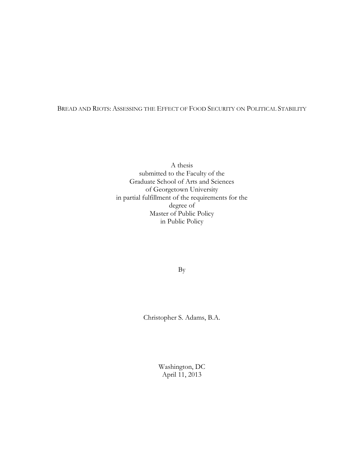#### BREAD AND RIOTS: ASSESSING THE EFFECT OF FOOD SECURITY ON POLITICAL STABILITY

A thesis submitted to the Faculty of the Graduate School of Arts and Sciences of Georgetown University in partial fulfillment of the requirements for the degree of Master of Public Policy in Public Policy

By

Christopher S. Adams, B.A.

Washington, DC April 11, 2013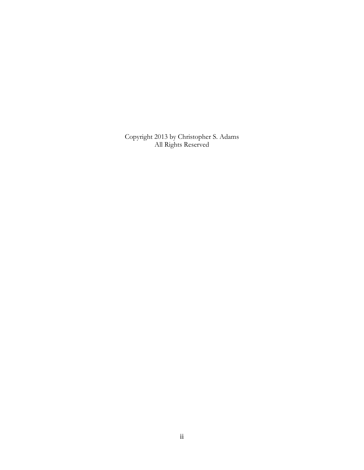Copyright 2013 by Christopher S. Adams All Rights Reserved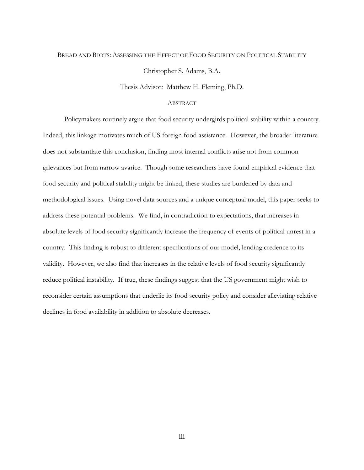#### BREAD AND RIOTS: ASSESSING THE EFFECT OF FOOD SECURITY ON POLITICAL STABILITY

Christopher S. Adams, B.A.

Thesis Advisor*:* Matthew H. Fleming, Ph.D.

#### ABSTRACT

Policymakers routinely argue that food security undergirds political stability within a country. Indeed, this linkage motivates much of US foreign food assistance. However, the broader literature does not substantiate this conclusion, finding most internal conflicts arise not from common grievances but from narrow avarice. Though some researchers have found empirical evidence that food security and political stability might be linked, these studies are burdened by data and methodological issues. Using novel data sources and a unique conceptual model, this paper seeks to address these potential problems. We find, in contradiction to expectations, that increases in absolute levels of food security significantly increase the frequency of events of political unrest in a country. This finding is robust to different specifications of our model, lending credence to its validity. However, we also find that increases in the relative levels of food security significantly reduce political instability. If true, these findings suggest that the US government might wish to reconsider certain assumptions that underlie its food security policy and consider alleviating relative declines in food availability in addition to absolute decreases.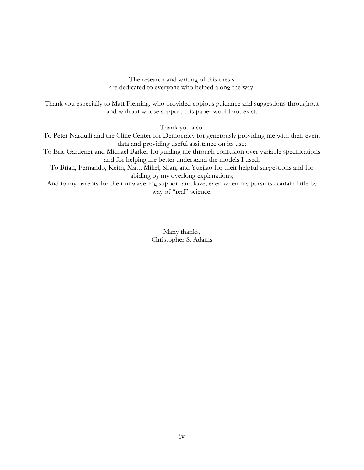The research and writing of this thesis are dedicated to everyone who helped along the way.

Thank you especially to Matt Fleming, who provided copious guidance and suggestions throughout and without whose support this paper would not exist.

Thank you also:

To Peter Nardulli and the Cline Center for Democracy for generously providing me with their event data and providing useful assistance on its use;

To Eric Gardener and Michael Barker for guiding me through confusion over variable specifications and for helping me better understand the models I used;

To Brian, Fernando, Keith, Matt, Mikel, Shan, and Yuejiao for their helpful suggestions and for abiding by my overlong explanations;

And to my parents for their unwavering support and love, even when my pursuits contain little by way of "real" science.

> Many thanks, Christopher S. Adams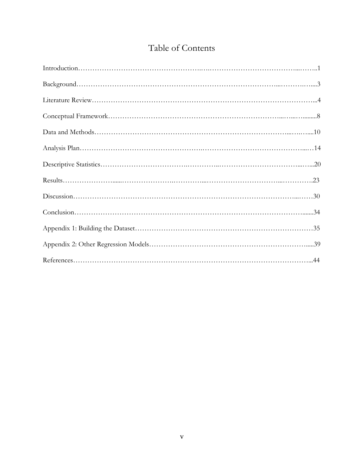# Table of Contents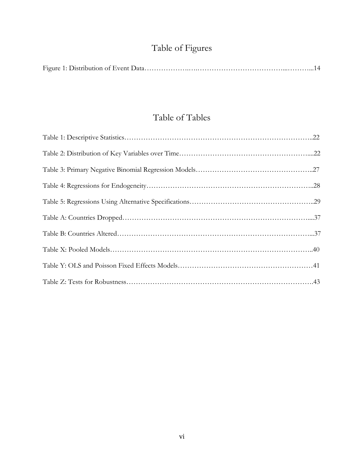# Table of Figures

|--|--|

## Table of Tables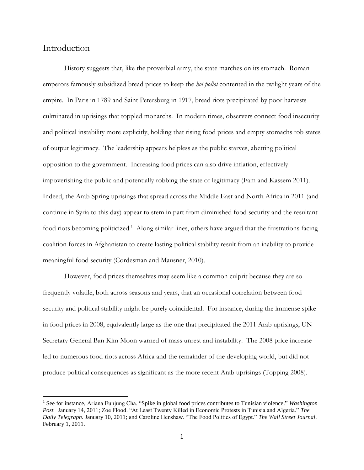### Introduction

 $\overline{a}$ 

History suggests that, like the proverbial army, the state marches on its stomach. Roman emperors famously subsidized bread prices to keep the *hoi polloi* contented in the twilight years of the empire. In Paris in 1789 and Saint Petersburg in 1917, bread riots precipitated by poor harvests culminated in uprisings that toppled monarchs. In modern times, observers connect food insecurity and political instability more explicitly, holding that rising food prices and empty stomachs rob states of output legitimacy. The leadership appears helpless as the public starves, abetting political opposition to the government. Increasing food prices can also drive inflation, effectively impoverishing the public and potentially robbing the state of legitimacy (Fam and Kassem 2011). Indeed, the Arab Spring uprisings that spread across the Middle East and North Africa in 2011 (and continue in Syria to this day) appear to stem in part from diminished food security and the resultant food riots becoming politicized.<sup>1</sup> Along similar lines, others have argued that the frustrations facing coalition forces in Afghanistan to create lasting political stability result from an inability to provide meaningful food security (Cordesman and Mausner, 2010).

However, food prices themselves may seem like a common culprit because they are so frequently volatile, both across seasons and years, that an occasional correlation between food security and political stability might be purely coincidental. For instance, during the immense spike in food prices in 2008, equivalently large as the one that precipitated the 2011 Arab uprisings, UN Secretary General Ban Kim Moon warned of mass unrest and instability. The 2008 price increase led to numerous food riots across Africa and the remainder of the developing world, but did not produce political consequences as significant as the more recent Arab uprisings (Topping 2008).

<sup>&</sup>lt;sup>1</sup> See for instance, Ariana Eunjung Cha. "Spike in global food prices contributes to Tunisian violence." *Washington Post.* January 14, 2011; Zoe Flood. "At Least Twenty Killed in Economic Protests in Tunisia and Algeria." *The Daily Telegraph*. January 10, 2011; and Caroline Henshaw. "The Food Politics of Egypt." *The Wall Street Journal*. February 1, 2011.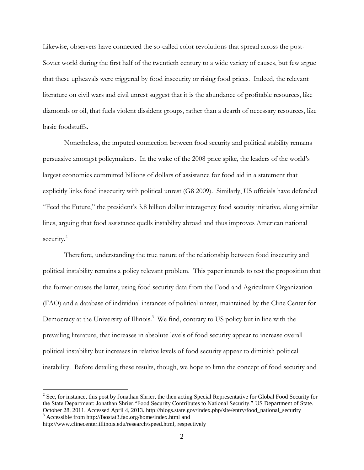Likewise, observers have connected the so-called color revolutions that spread across the post-Soviet world during the first half of the twentieth century to a wide variety of causes, but few argue that these upheavals were triggered by food insecurity or rising food prices. Indeed, the relevant literature on civil wars and civil unrest suggest that it is the abundance of profitable resources, like diamonds or oil, that fuels violent dissident groups, rather than a dearth of necessary resources, like basic foodstuffs.

Nonetheless, the imputed connection between food security and political stability remains persuasive amongst policymakers. In the wake of the 2008 price spike, the leaders of the world's largest economies committed billions of dollars of assistance for food aid in a statement that explicitly links food insecurity with political unrest (G8 2009). Similarly, US officials have defended "Feed the Future," the president's 3.8 billion dollar interagency food security initiative, along similar lines, arguing that food assistance quells instability abroad and thus improves American national security.<sup>2</sup>

Therefore, understanding the true nature of the relationship between food insecurity and political instability remains a policy relevant problem. This paper intends to test the proposition that the former causes the latter, using food security data from the Food and Agriculture Organization (FAO) and a database of individual instances of political unrest, maintained by the Cline Center for Democracy at the University of Illinois.<sup>3</sup> We find, contrary to US policy but in line with the prevailing literature, that increases in absolute levels of food security appear to increase overall political instability but increases in relative levels of food security appear to diminish political instability. Before detailing these results, though, we hope to limn the concept of food security and

<sup>&</sup>lt;sup>2</sup> See, for instance, this post by Jonathan Shrier, the then acting Special Representative for Global Food Security for the State Department: Jonathan Shrier."Food Security Contributes to National Security." US Department of State. October 28, 2011. Accessed April 4, 2013. http://blogs.state.gov/index.php/site/entry/food\_national\_security <sup>3</sup> Accessible from http://faostat3.fao.org/home/index.html and

http://www.clinecenter.illinois.edu/research/speed.html, respectively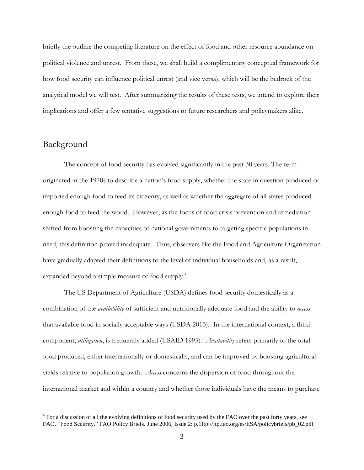briefly the outline the competing literature on the effect of food and other resource abundance on political violence and unrest. From these, we shall build a complimentary conceptual framework for how food security can influence political unrest (and vice versa), which will be the bedrock of the analytical model we will test. After summarizing the results of these tests, we intend to explore their implications and offer a few tentative suggestions to future researchers and policymakers alike.

### Background

 $\overline{a}$ 

The concept of food security has evolved significantly in the past 30 years. The term originated in the 1970s to describe a nation's food supply, whether the state in question produced or imported enough food to feed its citizenry, as well as whether the aggregate of all states produced enough food to feed the world. However, as the focus of food crisis prevention and remediation shifted from boosting the capacities of national governments to targeting specific populations in need, this definition proved inadequate. Thus, observers like the Food and Agriculture Organization have gradually adapted their definitions to the level of individual households and, as a result, expanded beyond a simple measure of food supply. 4

The US Department of Agriculture (USDA) defines food security domestically as a combination of the *availability* of sufficient and nutritionally adequate food and the ability to *access* that available food in socially acceptable ways (USDA 2013). In the international context, a third component, *utilization*, is frequently added (USAID 1995). *Availability* refers primarily to the total food produced, either internationally or domestically, and can be improved by boosting agricultural yields relative to population growth. *Access* concerns the dispersion of food throughout the international market and within a country and whether those individuals have the means to purchase

<sup>&</sup>lt;sup>4</sup> For a discussion of all the evolving definitions of food security used by the FAO over the past forty years, see FAO. "Food Security." FAO Policy Briefs. June 2006, Issue 2: p.1ftp://ftp.fao.org/es/ESA/policybriefs/pb\_02.pdf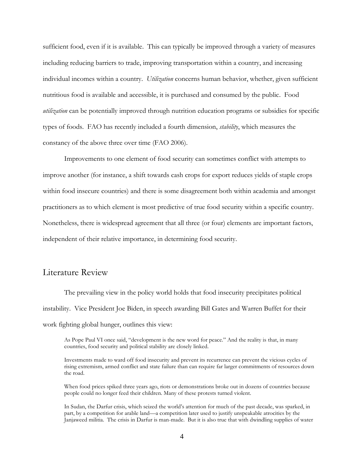sufficient food, even if it is available. This can typically be improved through a variety of measures including reducing barriers to trade, improving transportation within a country, and increasing individual incomes within a country. *Utilization* concerns human behavior, whether, given sufficient nutritious food is available and accessible, it is purchased and consumed by the public. Food *utilization* can be potentially improved through nutrition education programs or subsidies for specific types of foods. FAO has recently included a fourth dimension, *stability*, which measures the constancy of the above three over time (FAO 2006).

Improvements to one element of food security can sometimes conflict with attempts to improve another (for instance, a shift towards cash crops for export reduces yields of staple crops within food insecure countries) and there is some disagreement both within academia and amongst practitioners as to which element is most predictive of true food security within a specific country. Nonetheless, there is widespread agreement that all three (or four) elements are important factors, independent of their relative importance, in determining food security.

### Literature Review

The prevailing view in the policy world holds that food insecurity precipitates political instability. Vice President Joe Biden, in speech awarding Bill Gates and Warren Buffet for their work fighting global hunger, outlines this view:

As Pope Paul VI once said, "development is the new word for peace." And the reality is that, in many countries, food security and political stability are closely linked.

Investments made to ward off food insecurity and prevent its recurrence can prevent the vicious cycles of rising extremism, armed conflict and state failure than can require far larger commitments of resources down the road.

When food prices spiked three years ago, riots or demonstrations broke out in dozens of countries because people could no longer feed their children. Many of these protests turned violent.

In Sudan, the Darfur crisis, which seized the world's attention for much of the past decade, was sparked, in part, by a competition for arable land—a competition later used to justify unspeakable atrocities by the Janjaweed militia. The crisis in Darfur is man-made. But it is also true that with dwindling supplies of water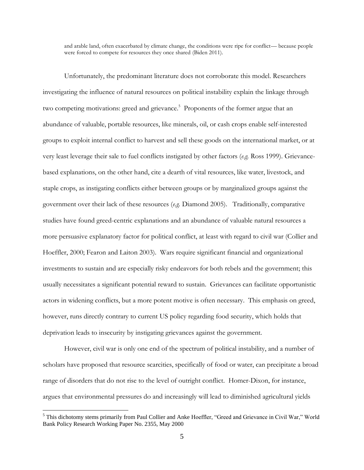and arable land, often exacerbated by climate change, the conditions were ripe for conflict— because people were forced to compete for resources they once shared (Biden 2011).

Unfortunately, the predominant literature does not corroborate this model. Researchers investigating the influence of natural resources on political instability explain the linkage through two competing motivations: greed and grievance.<sup>5</sup> Proponents of the former argue that an abundance of valuable, portable resources, like minerals, oil, or cash crops enable self-interested groups to exploit internal conflict to harvest and sell these goods on the international market, or at very least leverage their sale to fuel conflicts instigated by other factors (*e.g.* Ross 1999). Grievancebased explanations, on the other hand, cite a dearth of vital resources, like water, livestock, and staple crops, as instigating conflicts either between groups or by marginalized groups against the government over their lack of these resources (*e.g.* Diamond 2005). Traditionally, comparative studies have found greed-centric explanations and an abundance of valuable natural resources a more persuasive explanatory factor for political conflict, at least with regard to civil war (Collier and Hoeffler, 2000; Fearon and Laiton 2003). Wars require significant financial and organizational investments to sustain and are especially risky endeavors for both rebels and the government; this usually necessitates a significant potential reward to sustain. Grievances can facilitate opportunistic actors in widening conflicts, but a more potent motive is often necessary. This emphasis on greed, however, runs directly contrary to current US policy regarding food security, which holds that deprivation leads to insecurity by instigating grievances against the government.

However, civil war is only one end of the spectrum of political instability, and a number of scholars have proposed that resource scarcities, specifically of food or water, can precipitate a broad range of disorders that do not rise to the level of outright conflict. Homer-Dixon, for instance, argues that environmental pressures do and increasingly will lead to diminished agricultural yields

<sup>5</sup> This dichotomy stems primarily from Paul Collier and Anke Hoeffler, "Greed and Grievance in Civil War," World Bank Policy Research Working Paper No. 2355, May 2000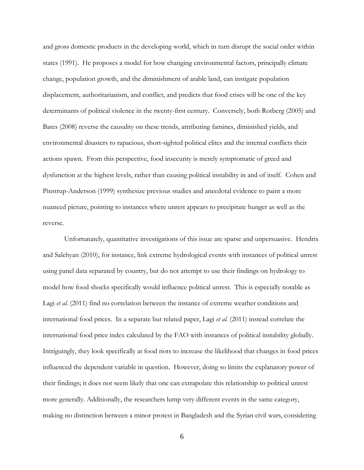and gross domestic products in the developing world, which in turn disrupt the social order within states (1991). He proposes a model for how changing environmental factors, principally climate change, population growth, and the diminishment of arable land, can instigate population displacement, authoritarianism, and conflict, and predicts that food crises will be one of the key determinants of political violence in the twenty-first century. Conversely, both Rotberg (2005) and Bates (2008) reverse the causality on these trends, attributing famines, diminished yields, and environmental disasters to rapacious, short-sighted political elites and the internal conflicts their actions spawn. From this perspective, food insecurity is merely symptomatic of greed and dysfunction at the highest levels, rather than causing political instability in and of itself. Cohen and Pinstrup-Anderson (1999) synthesize previous studies and anecdotal evidence to paint a more nuanced picture, pointing to instances where unrest appears to precipitate hunger as well as the reverse.

Unfortunately, quantitative investigations of this issue are sparse and unpersuasive. Hendrix and Salehyan (2010), for instance, link extreme hydrological events with instances of political unrest using panel data separated by country, but do not attempt to use their findings on hydrology to model how food shocks specifically would influence political unrest. This is especially notable as Lagi *et al.* (2011) find no correlation between the instance of extreme weather conditions and international food prices. In a separate but related paper, Lagi *et al.* (2011) instead correlate the international food price index calculated by the FAO with instances of political instability globally. Intriguingly, they look specifically at food riots to increase the likelihood that changes in food prices influenced the dependent variable in question. However, doing so limits the explanatory power of their findings; it does not seem likely that one can extrapolate this relationship to political unrest more generally. Additionally, the researchers lump very different events in the same category, making no distinction between a minor protest in Bangladesh and the Syrian civil wars, considering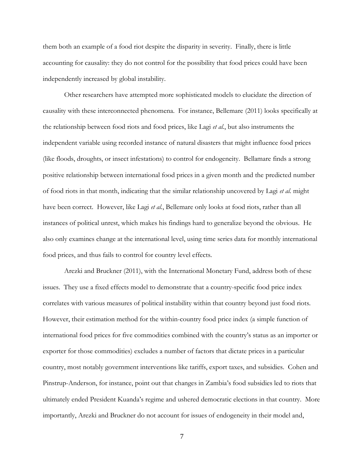them both an example of a food riot despite the disparity in severity. Finally, there is little accounting for causality: they do not control for the possibility that food prices could have been independently increased by global instability.

Other researchers have attempted more sophisticated models to elucidate the direction of causality with these interconnected phenomena. For instance, Bellemare (2011) looks specifically at the relationship between food riots and food prices, like Lagi *et al.*, but also instruments the independent variable using recorded instance of natural disasters that might influence food prices (like floods, droughts, or insect infestations) to control for endogeneity. Bellamare finds a strong positive relationship between international food prices in a given month and the predicted number of food riots in that month, indicating that the similar relationship uncovered by Lagi *et al.* might have been correct. However, like Lagi *et al.*, Bellemare only looks at food riots, rather than all instances of political unrest, which makes his findings hard to generalize beyond the obvious. He also only examines change at the international level, using time series data for monthly international food prices, and thus fails to control for country level effects.

Arezki and Bruckner (2011), with the International Monetary Fund, address both of these issues. They use a fixed effects model to demonstrate that a country-specific food price index correlates with various measures of political instability within that country beyond just food riots. However, their estimation method for the within-country food price index (a simple function of international food prices for five commodities combined with the country's status as an importer or exporter for those commodities) excludes a number of factors that dictate prices in a particular country, most notably government interventions like tariffs, export taxes, and subsidies. Cohen and Pinstrup-Anderson, for instance, point out that changes in Zambia's food subsidies led to riots that ultimately ended President Kuanda's regime and ushered democratic elections in that country. More importantly, Arezki and Bruckner do not account for issues of endogeneity in their model and,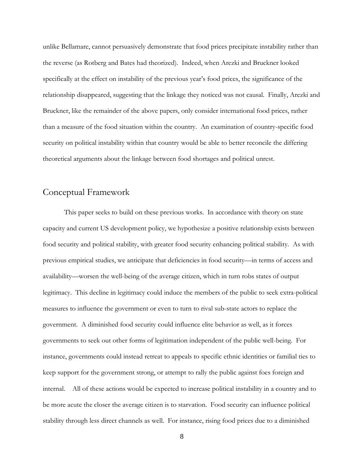unlike Bellamare, cannot persuasively demonstrate that food prices precipitate instability rather than the reverse (as Rotberg and Bates had theorized). Indeed, when Arezki and Bruckner looked specifically at the effect on instability of the previous year's food prices, the significance of the relationship disappeared, suggesting that the linkage they noticed was not causal. Finally, Arezki and Bruckner, like the remainder of the above papers, only consider international food prices, rather than a measure of the food situation within the country. An examination of country-specific food security on political instability within that country would be able to better reconcile the differing theoretical arguments about the linkage between food shortages and political unrest.

### Conceptual Framework

This paper seeks to build on these previous works. In accordance with theory on state capacity and current US development policy, we hypothesize a positive relationship exists between food security and political stability, with greater food security enhancing political stability. As with previous empirical studies, we anticipate that deficiencies in food security—in terms of access and availability—worsen the well-being of the average citizen, which in turn robs states of output legitimacy. This decline in legitimacy could induce the members of the public to seek extra-political measures to influence the government or even to turn to rival sub-state actors to replace the government. A diminished food security could influence elite behavior as well, as it forces governments to seek out other forms of legitimation independent of the public well-being. For instance, governments could instead retreat to appeals to specific ethnic identities or familial ties to keep support for the government strong, or attempt to rally the public against foes foreign and internal. All of these actions would be expected to increase political instability in a country and to be more acute the closer the average citizen is to starvation. Food security can influence political stability through less direct channels as well. For instance, rising food prices due to a diminished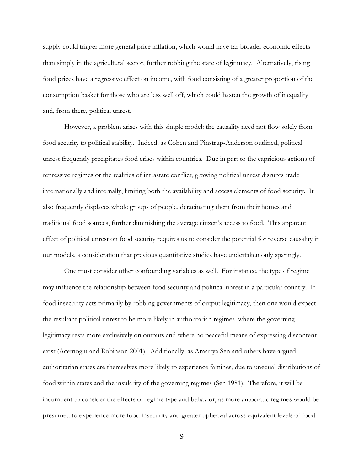supply could trigger more general price inflation, which would have far broader economic effects than simply in the agricultural sector, further robbing the state of legitimacy. Alternatively, rising food prices have a regressive effect on income, with food consisting of a greater proportion of the consumption basket for those who are less well off, which could hasten the growth of inequality and, from there, political unrest.

However, a problem arises with this simple model: the causality need not flow solely from food security to political stability. Indeed, as Cohen and Pinstrup-Anderson outlined, political unrest frequently precipitates food crises within countries. Due in part to the capricious actions of repressive regimes or the realities of intrastate conflict, growing political unrest disrupts trade internationally and internally, limiting both the availability and access elements of food security. It also frequently displaces whole groups of people, deracinating them from their homes and traditional food sources, further diminishing the average citizen's access to food. This apparent effect of political unrest on food security requires us to consider the potential for reverse causality in our models, a consideration that previous quantitative studies have undertaken only sparingly.

One must consider other confounding variables as well. For instance, the type of regime may influence the relationship between food security and political unrest in a particular country. If food insecurity acts primarily by robbing governments of output legitimacy, then one would expect the resultant political unrest to be more likely in authoritarian regimes, where the governing legitimacy rests more exclusively on outputs and where no peaceful means of expressing discontent exist (Acemoglu and Robinson 2001). Additionally, as Amartya Sen and others have argued, authoritarian states are themselves more likely to experience famines, due to unequal distributions of food within states and the insularity of the governing regimes (Sen 1981). Therefore, it will be incumbent to consider the effects of regime type and behavior, as more autocratic regimes would be presumed to experience more food insecurity and greater upheaval across equivalent levels of food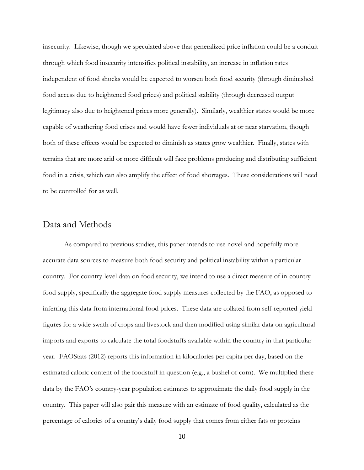insecurity. Likewise, though we speculated above that generalized price inflation could be a conduit through which food insecurity intensifies political instability, an increase in inflation rates independent of food shocks would be expected to worsen both food security (through diminished food access due to heightened food prices) and political stability (through decreased output legitimacy also due to heightened prices more generally). Similarly, wealthier states would be more capable of weathering food crises and would have fewer individuals at or near starvation, though both of these effects would be expected to diminish as states grow wealthier. Finally, states with terrains that are more arid or more difficult will face problems producing and distributing sufficient food in a crisis, which can also amplify the effect of food shortages. These considerations will need to be controlled for as well.

#### Data and Methods

As compared to previous studies, this paper intends to use novel and hopefully more accurate data sources to measure both food security and political instability within a particular country. For country-level data on food security, we intend to use a direct measure of in-country food supply, specifically the aggregate food supply measures collected by the FAO, as opposed to inferring this data from international food prices. These data are collated from self-reported yield figures for a wide swath of crops and livestock and then modified using similar data on agricultural imports and exports to calculate the total foodstuffs available within the country in that particular year. FAOStats (2012) reports this information in kilocalories per capita per day, based on the estimated caloric content of the foodstuff in question (e.g., a bushel of corn). We multiplied these data by the FAO's country-year population estimates to approximate the daily food supply in the country. This paper will also pair this measure with an estimate of food quality, calculated as the percentage of calories of a country's daily food supply that comes from either fats or proteins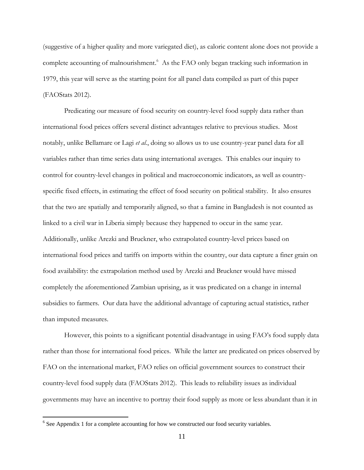(suggestive of a higher quality and more variegated diet), as caloric content alone does not provide a complete accounting of malnourishment.<sup>6</sup> As the FAO only began tracking such information in 1979, this year will serve as the starting point for all panel data compiled as part of this paper (FAOStats 2012).

Predicating our measure of food security on country-level food supply data rather than international food prices offers several distinct advantages relative to previous studies. Most notably, unlike Bellamare or Lagi *et al.*, doing so allows us to use country-year panel data for all variables rather than time series data using international averages. This enables our inquiry to control for country-level changes in political and macroeconomic indicators, as well as countryspecific fixed effects, in estimating the effect of food security on political stability. It also ensures that the two are spatially and temporarily aligned, so that a famine in Bangladesh is not counted as linked to a civil war in Liberia simply because they happened to occur in the same year. Additionally, unlike Arezki and Bruckner, who extrapolated country-level prices based on international food prices and tariffs on imports within the country, our data capture a finer grain on food availability: the extrapolation method used by Arezki and Bruckner would have missed completely the aforementioned Zambian uprising, as it was predicated on a change in internal subsidies to farmers. Our data have the additional advantage of capturing actual statistics, rather than imputed measures.

However, this points to a significant potential disadvantage in using FAO's food supply data rather than those for international food prices. While the latter are predicated on prices observed by FAO on the international market, FAO relies on official government sources to construct their country-level food supply data (FAOStats 2012). This leads to reliability issues as individual governments may have an incentive to portray their food supply as more or less abundant than it in

 $6$  See Appendix 1 for a complete accounting for how we constructed our food security variables.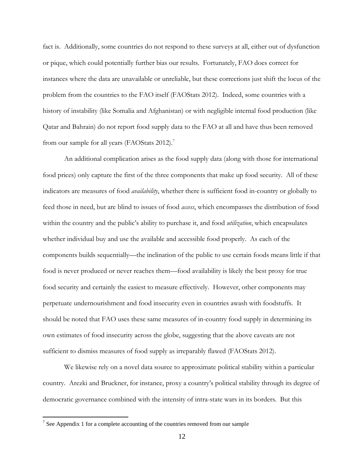fact is. Additionally, some countries do not respond to these surveys at all, either out of dysfunction or pique, which could potentially further bias our results. Fortunately, FAO does correct for instances where the data are unavailable or unreliable, but these corrections just shift the locus of the problem from the countries to the FAO itself (FAOStats 2012). Indeed, some countries with a history of instability (like Somalia and Afghanistan) or with negligible internal food production (like Qatar and Bahrain) do not report food supply data to the FAO at all and have thus been removed from our sample for all years (FAOStats 2012).<sup>7</sup>

An additional complication arises as the food supply data (along with those for international food prices) only capture the first of the three components that make up food security. All of these indicators are measures of food *availability*, whether there is sufficient food in-country or globally to feed those in need, but are blind to issues of food *access*, which encompasses the distribution of food within the country and the public's ability to purchase it, and food *utilization*, which encapsulates whether individual buy and use the available and accessible food properly. As each of the components builds sequentially—the inclination of the public to use certain foods means little if that food is never produced or never reaches them—food availability is likely the best proxy for true food security and certainly the easiest to measure effectively. However, other components may perpetuate undernourishment and food insecurity even in countries awash with foodstuffs. It should be noted that FAO uses these same measures of in-country food supply in determining its own estimates of food insecurity across the globe, suggesting that the above caveats are not sufficient to dismiss measures of food supply as irreparably flawed (FAOStats 2012).

We likewise rely on a novel data source to approximate political stability within a particular country. Arezki and Bruckner, for instance, proxy a country's political stability through its degree of democratic governance combined with the intensity of intra-state wars in its borders. But this

<sup>&</sup>lt;sup>7</sup> See Appendix 1 for a complete accounting of the countries removed from our sample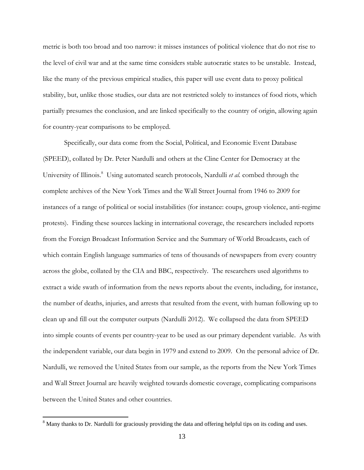metric is both too broad and too narrow: it misses instances of political violence that do not rise to the level of civil war and at the same time considers stable autocratic states to be unstable. Instead, like the many of the previous empirical studies, this paper will use event data to proxy political stability, but, unlike those studies, our data are not restricted solely to instances of food riots, which partially presumes the conclusion, and are linked specifically to the country of origin, allowing again for country-year comparisons to be employed.

Specifically, our data come from the Social, Political, and Economic Event Database (SPEED), collated by Dr. Peter Nardulli and others at the Cline Center for Democracy at the University of Illinois.<sup>8</sup> Using automated search protocols, Nardulli *et al.* combed through the complete archives of the New York Times and the Wall Street Journal from 1946 to 2009 for instances of a range of political or social instabilities (for instance: coups, group violence, anti-regime protests). Finding these sources lacking in international coverage, the researchers included reports from the Foreign Broadcast Information Service and the Summary of World Broadcasts, each of which contain English language summaries of tens of thousands of newspapers from every country across the globe, collated by the CIA and BBC, respectively. The researchers used algorithms to extract a wide swath of information from the news reports about the events, including, for instance, the number of deaths, injuries, and arrests that resulted from the event, with human following up to clean up and fill out the computer outputs (Nardulli 2012). We collapsed the data from SPEED into simple counts of events per country-year to be used as our primary dependent variable. As with the independent variable, our data begin in 1979 and extend to 2009. On the personal advice of Dr. Nardulli, we removed the United States from our sample, as the reports from the New York Times and Wall Street Journal are heavily weighted towards domestic coverage, complicating comparisons between the United States and other countries.

<sup>&</sup>lt;sup>8</sup> Many thanks to Dr. Nardulli for graciously providing the data and offering helpful tips on its coding and uses.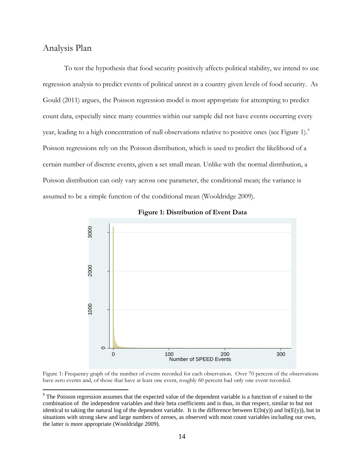### Analysis Plan

 $\overline{a}$ 

To test the hypothesis that food security positively affects political stability, we intend to use regression analysis to predict events of political unrest in a country given levels of food security. As Gould (2011) argues, the Poisson regression model is most appropriate for attempting to predict count data, especially since many countries within our sample did not have events occurring every year, leading to a high concentration of null observations relative to positive ones (see Figure 1).<sup>9</sup> Poisson regressions rely on the Poisson distribution, which is used to predict the likelihood of a certain number of discrete events, given a set small mean. Unlike with the normal distribution, a Poisson distribution can only vary across one parameter, the conditional mean; the variance is assumed to be a simple function of the conditional mean (Wooldridge 2009).



#### **Figure 1: Distribution of Event Data**

Figure 1: Frequency graph of the number of events recorded for each observation. Over 70 percent of the observations have zero events and, of those that have at least one event, roughly 60 percent had only one event recorded.

<sup>9</sup> The Poisson regression assumes that the expected value of the dependent variable is a function of *e* raised to the combination of the independent variables and their beta coefficients and is thus, in that respect, similar to but not identical to taking the natural log of the dependent variable. It is the difference between  $E(ln(y))$  and  $ln(E(y))$ , but in situations with strong skew and large numbers of zeroes, as observed with most count variables including our own, the latter is more appropriate (Wooldridge 2009).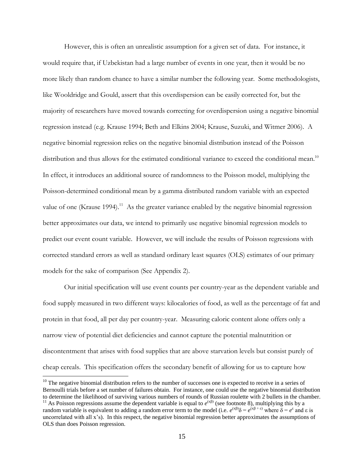However, this is often an unrealistic assumption for a given set of data. For instance, it would require that, if Uzbekistan had a large number of events in one year, then it would be no more likely than random chance to have a similar number the following year. Some methodologists, like Wooldridge and Gould, assert that this overdispersion can be easily corrected for, but the majority of researchers have moved towards correcting for overdispersion using a negative binomial regression instead (e.g. Krause 1994; Beth and Elkins 2004; Krause, Suzuki, and Witmer 2006). A negative binomial regression relies on the negative binomial distribution instead of the Poisson distribution and thus allows for the estimated conditional variance to exceed the conditional mean.<sup>10</sup> In effect, it introduces an additional source of randomness to the Poisson model, multiplying the Poisson-determined conditional mean by a gamma distributed random variable with an expected value of one (Krause 1994).<sup>11</sup> As the greater variance enabled by the negative binomial regression better approximates our data, we intend to primarily use negative binomial regression models to predict our event count variable. However, we will include the results of Poisson regressions with corrected standard errors as well as standard ordinary least squares (OLS) estimates of our primary models for the sake of comparison (See Appendix 2).

Our initial specification will use event counts per country-year as the dependent variable and food supply measured in two different ways: kilocalories of food, as well as the percentage of fat and protein in that food, all per day per country-year. Measuring caloric content alone offers only a narrow view of potential diet deficiencies and cannot capture the potential malnutrition or discontentment that arises with food supplies that are above starvation levels but consist purely of cheap cereals. This specification offers the secondary benefit of allowing for us to capture how

 $10$  The negative binomial distribution refers to the number of successes one is expected to receive in a series of Bernoulli trials before a set number of failures obtain. For instance, one could use the negative binomial distribution to determine the likelihood of surviving various numbers of rounds of Russian roulette with 2 bullets in the chamber. <sup>11</sup> As Poisson regressions assume the dependent variable is equal to  $e^{(x\beta)}$  (see footnote 8), multiplying this by a random variable is equivalent to adding a random error term to the model (i.e.  $e^{(x\beta)}\delta = e^{(x\beta + \epsilon)}$  where  $\delta = e^{\epsilon}$  and  $\epsilon$  is uncorrelated with all x's). In this respect, the negative binomial regression better approximates the assumptions of OLS than does Poisson regression.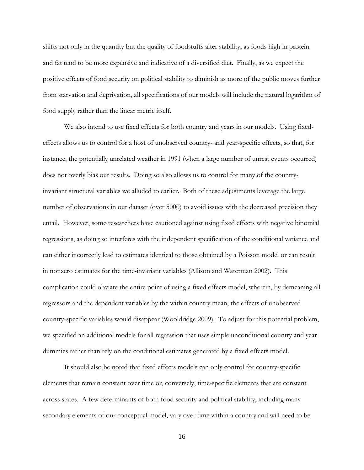shifts not only in the quantity but the quality of foodstuffs alter stability, as foods high in protein and fat tend to be more expensive and indicative of a diversified diet. Finally, as we expect the positive effects of food security on political stability to diminish as more of the public moves further from starvation and deprivation, all specifications of our models will include the natural logarithm of food supply rather than the linear metric itself.

We also intend to use fixed effects for both country and years in our models. Using fixedeffects allows us to control for a host of unobserved country- and year-specific effects, so that, for instance, the potentially unrelated weather in 1991 (when a large number of unrest events occurred) does not overly bias our results. Doing so also allows us to control for many of the countryinvariant structural variables we alluded to earlier. Both of these adjustments leverage the large number of observations in our dataset (over 5000) to avoid issues with the decreased precision they entail. However, some researchers have cautioned against using fixed effects with negative binomial regressions, as doing so interferes with the independent specification of the conditional variance and can either incorrectly lead to estimates identical to those obtained by a Poisson model or can result in nonzero estimates for the time-invariant variables (Allison and Waterman 2002). This complication could obviate the entire point of using a fixed effects model, wherein, by demeaning all regressors and the dependent variables by the within country mean, the effects of unobserved country-specific variables would disappear (Wooldridge 2009). To adjust for this potential problem, we specified an additional models for all regression that uses simple unconditional country and year dummies rather than rely on the conditional estimates generated by a fixed effects model.

It should also be noted that fixed effects models can only control for country-specific elements that remain constant over time or, conversely, time-specific elements that are constant across states. A few determinants of both food security and political stability, including many secondary elements of our conceptual model, vary over time within a country and will need to be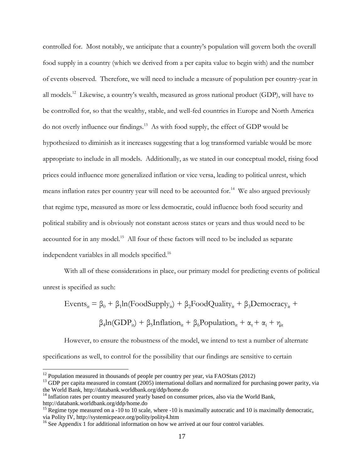controlled for. Most notably, we anticipate that a country's population will govern both the overall food supply in a country (which we derived from a per capita value to begin with) and the number of events observed. Therefore, we will need to include a measure of population per country-year in all models.<sup>12</sup> Likewise, a country's wealth, measured as gross national product (GDP), will have to be controlled for, so that the wealthy, stable, and well-fed countries in Europe and North America do not overly influence our findings. 13 As with food supply, the effect of GDP would be hypothesized to diminish as it increases suggesting that a log transformed variable would be more appropriate to include in all models. Additionally, as we stated in our conceptual model, rising food prices could influence more generalized inflation or vice versa, leading to political unrest, which means inflation rates per country year will need to be accounted for.<sup>14</sup> We also argued previously that regime type, measured as more or less democratic, could influence both food security and political stability and is obviously not constant across states or years and thus would need to be accounted for in any model.<sup>15</sup> All four of these factors will need to be included as separate independent variables in all models specified.<sup>16</sup>

With all of these considerations in place, our primary model for predicting events of political unrest is specified as such:

$$
Events_{it} = \beta_0 + \beta_1 ln(FoodSupply_{it}) + \beta_2 FoodQuality_{it} + \beta_3 Demoncracy_{it} +
$$

$$
\beta_4 ln(GDP_{it}) + \beta_5 Inflation_{it} + \beta_6 Population_{it} + \alpha_t + \alpha_i + \eta_{it}
$$

However, to ensure the robustness of the model, we intend to test a number of alternate specifications as well, to control for the possibility that our findings are sensitive to certain

 $12$  Population measured in thousands of people per country per year, via FAOStats (2012)

 $13$  GDP per capita measured in constant (2005) international dollars and normalized for purchasing power parity, via the World Bank, http://databank.worldbank.org/ddp/home.do

<sup>&</sup>lt;sup>14</sup> Inflation rates per country measured yearly based on consumer prices, also via the World Bank, http://databank.worldbank.org/ddp/home.do

<sup>&</sup>lt;sup>15</sup> Regime type measured on  $\alpha$  -10 to 10 scale, where -10 is maximally autocratic and 10 is maximally democratic, via Polity IV, http://systemicpeace.org/polity/polity4.htm

<sup>&</sup>lt;sup>16</sup> See Appendix 1 for additional information on how we arrived at our four control variables.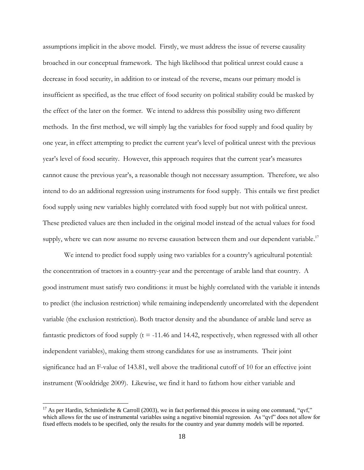assumptions implicit in the above model. Firstly, we must address the issue of reverse causality broached in our conceptual framework. The high likelihood that political unrest could cause a decrease in food security, in addition to or instead of the reverse, means our primary model is insufficient as specified, as the true effect of food security on political stability could be masked by the effect of the later on the former. We intend to address this possibility using two different methods. In the first method, we will simply lag the variables for food supply and food quality by one year, in effect attempting to predict the current year's level of political unrest with the previous year's level of food security. However, this approach requires that the current year's measures cannot cause the previous year's, a reasonable though not necessary assumption. Therefore, we also intend to do an additional regression using instruments for food supply. This entails we first predict food supply using new variables highly correlated with food supply but not with political unrest. These predicted values are then included in the original model instead of the actual values for food supply, where we can now assume no reverse causation between them and our dependent variable.<sup>17</sup>

We intend to predict food supply using two variables for a country's agricultural potential: the concentration of tractors in a country-year and the percentage of arable land that country. A good instrument must satisfy two conditions: it must be highly correlated with the variable it intends to predict (the inclusion restriction) while remaining independently uncorrelated with the dependent variable (the exclusion restriction). Both tractor density and the abundance of arable land serve as fantastic predictors of food supply  $(t = -11.46$  and 14.42, respectively, when regressed with all other independent variables), making them strong candidates for use as instruments. Their joint significance had an F-value of 143.81, well above the traditional cutoff of 10 for an effective joint instrument (Wooldridge 2009). Likewise, we find it hard to fathom how either variable and

<sup>&</sup>lt;sup>17</sup> As per Hardin, Schmiediche & Carroll (2003), we in fact performed this process in using one command, "qvf," which allows for the use of instrumental variables using a negative binomial regression. As "qvf" does not allow for fixed effects models to be specified, only the results for the country and year dummy models will be reported.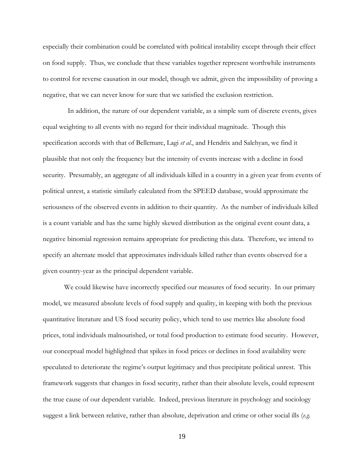especially their combination could be correlated with political instability except through their effect on food supply. Thus, we conclude that these variables together represent worthwhile instruments to control for reverse causation in our model, though we admit, given the impossibility of proving a negative, that we can never know for sure that we satisfied the exclusion restriction.

 In addition, the nature of our dependent variable, as a simple sum of discrete events, gives equal weighting to all events with no regard for their individual magnitude. Though this specification accords with that of Bellemare, Lagi *et al.*, and Hendrix and Salehyan, we find it plausible that not only the frequency but the intensity of events increase with a decline in food security. Presumably, an aggregate of all individuals killed in a country in a given year from events of political unrest, a statistic similarly calculated from the SPEED database, would approximate the seriousness of the observed events in addition to their quantity. As the number of individuals killed is a count variable and has the same highly skewed distribution as the original event count data, a negative binomial regression remains appropriate for predicting this data. Therefore, we intend to specify an alternate model that approximates individuals killed rather than events observed for a given country-year as the principal dependent variable.

We could likewise have incorrectly specified our measures of food security. In our primary model, we measured absolute levels of food supply and quality, in keeping with both the previous quantitative literature and US food security policy, which tend to use metrics like absolute food prices, total individuals malnourished, or total food production to estimate food security. However, our conceptual model highlighted that spikes in food prices or declines in food availability were speculated to deteriorate the regime's output legitimacy and thus precipitate political unrest. This framework suggests that changes in food security, rather than their absolute levels, could represent the true cause of our dependent variable. Indeed, previous literature in psychology and sociology suggest a link between relative, rather than absolute, deprivation and crime or other social ills (*e.g.*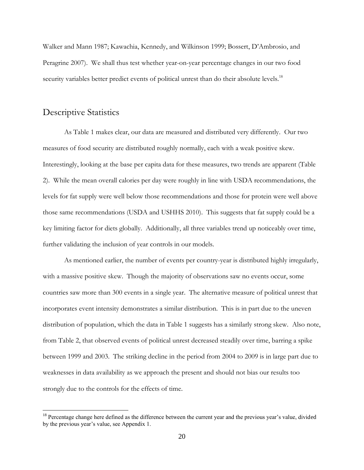Walker and Mann 1987; Kawachia, Kennedy, and Wilkinson 1999; Bossert, D'Ambrosio, and Peragrine 2007). We shall thus test whether year-on-year percentage changes in our two food security variables better predict events of political unrest than do their absolute levels.<sup>18</sup>

### Descriptive Statistics

 $\overline{a}$ 

As Table 1 makes clear, our data are measured and distributed very differently. Our two measures of food security are distributed roughly normally, each with a weak positive skew. Interestingly, looking at the base per capita data for these measures, two trends are apparent (Table 2). While the mean overall calories per day were roughly in line with USDA recommendations, the levels for fat supply were well below those recommendations and those for protein were well above those same recommendations (USDA and USHHS 2010). This suggests that fat supply could be a key limiting factor for diets globally. Additionally, all three variables trend up noticeably over time, further validating the inclusion of year controls in our models.

As mentioned earlier, the number of events per country-year is distributed highly irregularly, with a massive positive skew. Though the majority of observations saw no events occur, some countries saw more than 300 events in a single year. The alternative measure of political unrest that incorporates event intensity demonstrates a similar distribution. This is in part due to the uneven distribution of population, which the data in Table 1 suggests has a similarly strong skew. Also note, from Table 2, that observed events of political unrest decreased steadily over time, barring a spike between 1999 and 2003. The striking decline in the period from 2004 to 2009 is in large part due to weaknesses in data availability as we approach the present and should not bias our results too strongly due to the controls for the effects of time.

<sup>&</sup>lt;sup>18</sup> Percentage change here defined as the difference between the current year and the previous year's value, divided by the previous year's value, see Appendix 1.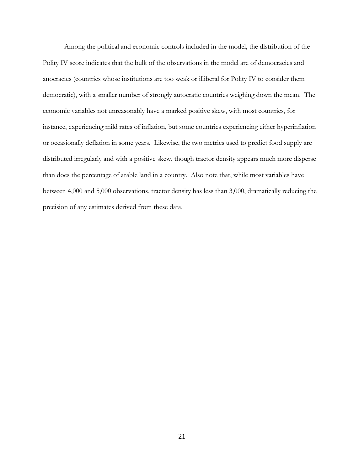Among the political and economic controls included in the model, the distribution of the Polity IV score indicates that the bulk of the observations in the model are of democracies and anocracies (countries whose institutions are too weak or illiberal for Polity IV to consider them democratic), with a smaller number of strongly autocratic countries weighing down the mean. The economic variables not unreasonably have a marked positive skew, with most countries, for instance, experiencing mild rates of inflation, but some countries experiencing either hyperinflation or occasionally deflation in some years. Likewise, the two metrics used to predict food supply are distributed irregularly and with a positive skew, though tractor density appears much more disperse than does the percentage of arable land in a country. Also note that, while most variables have between 4,000 and 5,000 observations, tractor density has less than 3,000, dramatically reducing the precision of any estimates derived from these data.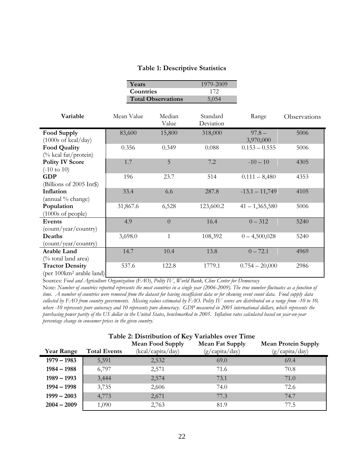#### **Table 1: Descriptive Statistics**

|                                      | Years      |                           | 1979-2009 |                  |              |
|--------------------------------------|------------|---------------------------|-----------|------------------|--------------|
|                                      | Countries  |                           | 172       |                  |              |
|                                      |            | <b>Total Observations</b> | 5,054     |                  |              |
|                                      |            |                           |           |                  |              |
| Variable                             | Mean Value | Median                    | Standard  | Range            | Observations |
|                                      |            | Value                     | Deviation |                  |              |
| Food Supply                          | 83,600     | 15,800                    | 318,000   | $97.8 -$         | 5006         |
| $(1000s \text{ of } kcal/day)$       |            |                           |           | 3,970,000        |              |
| <b>Food Quality</b>                  | 0.356      | 0.349                     | 0.088     | $0.153 - 0.555$  | 5006         |
| (% kcal fat/protein)                 |            |                           |           |                  |              |
| <b>Polity IV Score</b>               | 1.7        | 5                         | 7.2       | $-10-10$         | 4305         |
| $(-10 \text{ to } 10)$               |            |                           |           |                  |              |
| <b>GDP</b>                           | 196        | 23.7                      | 514       | $0.111 - 8,480$  | 4353         |
| (Billions of 2005 Int\)              |            |                           |           |                  |              |
| Inflation                            | 33.4       | 6.6                       | 287.8     | $-13.1 - 11,749$ | 4105         |
| (annual % change)                    |            |                           |           |                  |              |
| Population                           | 31,867.6   | 6,528                     | 123,600.2 | $41 - 1,365,580$ | 5006         |
| $(1000s \text{ of people})$          |            |                           |           |                  |              |
| Events                               | 4.9        | $\overline{0}$            | 16.4      | $0 - 312$        | 5240         |
| (count/year/country)                 |            |                           |           |                  |              |
| Deaths                               | 3,698.0    | $\mathbf{1}$              | 108,392   | $0 - 4,500,028$  | 5240         |
| (count/year/country)                 |            |                           |           |                  |              |
| Arable Land                          | 14.7       | 10.4                      | 13.8      | $0 - 72.1$       | 4969         |
| (% total land area)                  |            |                           |           |                  |              |
| <b>Tractor Density</b>               | 537.6      | 122.8                     | 1779.1    | $0.754 - 20,000$ | 2986         |
| (per 100km <sup>2</sup> arable land) |            |                           |           |                  |              |

Sources: *Food and Agriculture Organization (FAO)*, *Polity IV*, *World Bank, Cline Center for Democracy*

Note: *Number of countries reported represents the most countries in a single year (2006-2009). The true number fluctuates as a function of time. A number of countries were removed from the dataset for having insufficient data or for skewing event count data. Food supply data collected by FAO from country governments. Missing values estimated by FAO. Polity IV scores are distributed on a range from -10 to 10, where -10 represents pure autocracy and 10 represents pure democracy. GDP measured in 2005 international dollars, which represents the purchasing power parity of the US dollar in the United States, benchmarked to 2005. Inflation rates calculated based on year-on-year percentage change in consumer prices in the given country.*

|                   |                     | Table 2. Distribution of the valiables over Thine |                 |                            |
|-------------------|---------------------|---------------------------------------------------|-----------------|----------------------------|
|                   |                     | <b>Mean Food Supply</b>                           | Mean Fat Supply | <b>Mean Protein Supply</b> |
| <b>Year Range</b> | <b>Total Events</b> | (kcal/capita/day)                                 | (g/capita/day)  | $(g/c$ apita/day)          |
| $1979 - 1983$     | 5,591               | 2,532                                             | 69.0            | 69.4                       |
| $1984 - 1988$     | 6,797               | 2,571                                             | 71.6            | 70.8                       |
| $1989 - 1993$     | 3,444               | 2,574                                             | 73.1            | 71.0                       |
| $1994 - 1998$     | 3,735               | 2,606                                             | 74.0            | 72.6                       |
| $1999 - 2003$     | 4,773               | 2,671                                             | 77.3            | 74.7                       |
| $2004 - 2009$     | 1,090               | 2,763                                             | 81.9            | 77.5                       |

#### **Table 2: Distribution of Key Variables over Time**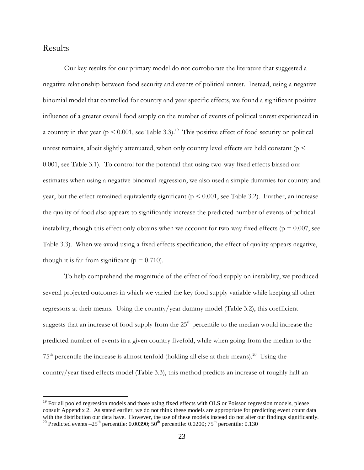### Results

 $\overline{a}$ 

Our key results for our primary model do not corroborate the literature that suggested a negative relationship between food security and events of political unrest. Instead, using a negative binomial model that controlled for country and year specific effects, we found a significant positive influence of a greater overall food supply on the number of events of political unrest experienced in a country in that year ( $p \le 0.001$ , see Table 3.3).<sup>19</sup> This positive effect of food security on political unrest remains, albeit slightly attenuated, when only country level effects are held constant ( $p <$ 0.001, see Table 3.1). To control for the potential that using two-way fixed effects biased our estimates when using a negative binomial regression, we also used a simple dummies for country and year, but the effect remained equivalently significant ( $p \le 0.001$ , see Table 3.2). Further, an increase the quality of food also appears to significantly increase the predicted number of events of political instability, though this effect only obtains when we account for two-way fixed effects ( $p = 0.007$ , see Table 3.3). When we avoid using a fixed effects specification, the effect of quality appears negative, though it is far from significant ( $p = 0.710$ ).

To help comprehend the magnitude of the effect of food supply on instability, we produced several projected outcomes in which we varied the key food supply variable while keeping all other regressors at their means. Using the country/year dummy model (Table 3.2), this coefficient suggests that an increase of food supply from the  $25<sup>th</sup>$  percentile to the median would increase the predicted number of events in a given country fivefold, while when going from the median to the  $75<sup>th</sup>$  percentile the increase is almost tenfold (holding all else at their means).<sup>20</sup> Using the country/year fixed effects model (Table 3.3), this method predicts an increase of roughly half an

<sup>&</sup>lt;sup>19</sup> For all pooled regression models and those using fixed effects with OLS or Poisson regression models, please consult Appendix 2. As stated earlier, we do not think these models are appropriate for predicting event count data with the distribution our data have. However, the use of these models instead do not alter our findings significantly. <sup>20</sup> Predicted events  $-25<sup>th</sup>$  percentile: 0.00390;  $50<sup>th</sup>$  percentile: 0.0200;  $75<sup>th</sup>$  percentile: 0.130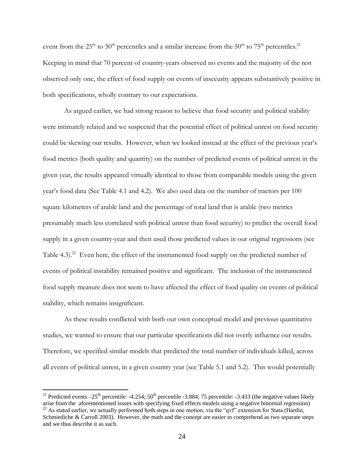event from the 25<sup>th</sup> to 50<sup>th</sup> percentiles and a similar increase from the 50<sup>th</sup> to 75<sup>th</sup> percentiles.<sup>21</sup> Keeping in mind that 70 percent of country-years observed no events and the majority of the rest observed only one, the effect of food supply on events of insecurity appears substantively positive in both specifications, wholly contrary to our expectations.

As argued earlier, we had strong reason to believe that food security and political stability were intimately related and we suspected that the potential effect of political unrest on food security could be skewing our results. However, when we looked instead at the effect of the previous year's food metrics (both quality and quantity) on the number of predicted events of political unrest in the given year, the results appeared virtually identical to those from comparable models using the given year's food data (See Table 4.1 and 4.2). We also used data on the number of tractors per 100 square kilometers of arable land and the percentage of total land that is arable (two metrics presumably much less correlated with political unrest than food security) to predict the overall food supply in a given country-year and then used those predicted values in our original regressions (see Table 4.3).<sup>22</sup> Even here, the effect of the instrumented food supply on the predicted number of events of political instability remained positive and significant. The inclusion of the instrumented food supply measure does not seem to have affected the effect of food quality on events of political stability, which remains insignificant.

As these results conflicted with both our own conceptual model and previous quantitative studies, we wanted to ensure that our particular specifications did not overly influence our results. Therefore, we specified similar models that predicted the total number of individuals killed, across all events of political unrest, in a given country year (see Table 5.1 and 5.2). This would potentially

<sup>&</sup>lt;sup>21</sup> Predicted events  $-25<sup>th</sup>$  percentile: -4.254; 50<sup>th</sup> percentile -3.884; 75 percentile: -3.433 (the negative values likely arise from the aforementioned issues with specifying fixed effects models using a negative binomial regression)  $^{22}$  As stated earlier, we actually performed both steps in one motion, via the "qvf" extension for Stata (Hardin, Schmiediche & Carroll 2003). However, the math and the concept are easier to comprehend as two separate steps and we thus describe it as such.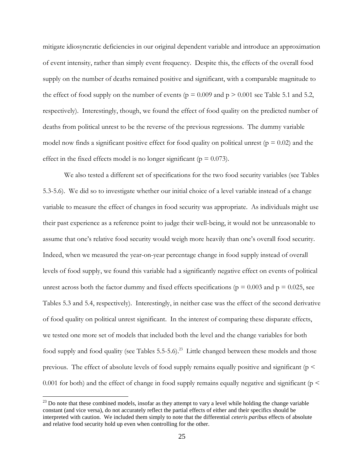mitigate idiosyncratic deficiencies in our original dependent variable and introduce an approximation of event intensity, rather than simply event frequency. Despite this, the effects of the overall food supply on the number of deaths remained positive and significant, with a comparable magnitude to the effect of food supply on the number of events ( $p = 0.009$  and  $p > 0.001$  see Table 5.1 and 5.2, respectively). Interestingly, though, we found the effect of food quality on the predicted number of deaths from political unrest to be the reverse of the previous regressions. The dummy variable model now finds a significant positive effect for food quality on political unrest ( $p = 0.02$ ) and the effect in the fixed effects model is no longer significant ( $p = 0.073$ ).

We also tested a different set of specifications for the two food security variables (see Tables 5.3-5.6). We did so to investigate whether our initial choice of a level variable instead of a change variable to measure the effect of changes in food security was appropriate. As individuals might use their past experience as a reference point to judge their well-being, it would not be unreasonable to assume that one's relative food security would weigh more heavily than one's overall food security. Indeed, when we measured the year-on-year percentage change in food supply instead of overall levels of food supply, we found this variable had a significantly negative effect on events of political unrest across both the factor dummy and fixed effects specifications ( $p = 0.003$  and  $p = 0.025$ , see Tables 5.3 and 5.4, respectively). Interestingly, in neither case was the effect of the second derivative of food quality on political unrest significant. In the interest of comparing these disparate effects, we tested one more set of models that included both the level and the change variables for both food supply and food quality (see Tables 5.5-5.6).<sup>23</sup> Little changed between these models and those previous. The effect of absolute levels of food supply remains equally positive and significant ( $p <$ 0.001 for both) and the effect of change in food supply remains equally negative and significant ( $p <$ 

 $^{23}$  Do note that these combined models, insofar as they attempt to vary a level while holding the change variable constant (and vice versa), do not accurately reflect the partial effects of either and their specifics should be interpreted with caution. We included them simply to note that the differential *ceteris paribus* effects of absolute and relative food security hold up even when controlling for the other.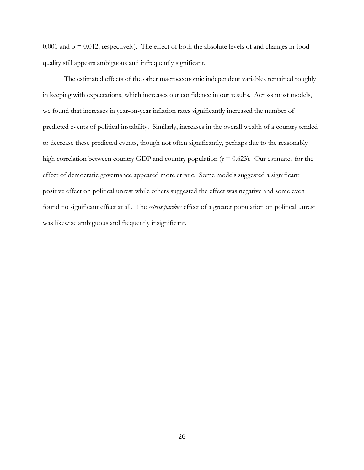0.001 and  $p = 0.012$ , respectively). The effect of both the absolute levels of and changes in food quality still appears ambiguous and infrequently significant.

The estimated effects of the other macroeconomic independent variables remained roughly in keeping with expectations, which increases our confidence in our results. Across most models, we found that increases in year-on-year inflation rates significantly increased the number of predicted events of political instability. Similarly, increases in the overall wealth of a country tended to decrease these predicted events, though not often significantly, perhaps due to the reasonably high correlation between country GDP and country population ( $r = 0.623$ ). Our estimates for the effect of democratic governance appeared more erratic. Some models suggested a significant positive effect on political unrest while others suggested the effect was negative and some even found no significant effect at all. The *ceteris paribus* effect of a greater population on political unrest was likewise ambiguous and frequently insignificant.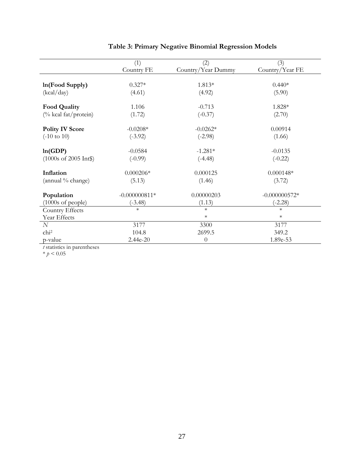|                                        | (1)             | (2)                | (3)             |
|----------------------------------------|-----------------|--------------------|-----------------|
|                                        | Country FE      | Country/Year Dummy | Country/Year FE |
| In(Food Supply)                        | $0.327*$        | 1.813*             | $0.440*$        |
| (kcal/day)                             | (4.61)          | (4.92)             | (5.90)          |
| <b>Food Quality</b>                    | 1.106           | $-0.713$           | 1.828*          |
| (% kcal fat/protein)                   | (1.72)          | $(-0.37)$          | (2.70)          |
| <b>Polity IV Score</b>                 | $-0.0208*$      | $-0.0262*$         | 0.00914         |
| $(-10 \text{ to } 10)$                 | $(-3.92)$       | $(-2.98)$          | (1.66)          |
| ln(GDP)                                | $-0.0584$       | $-1.281*$          | $-0.0135$       |
| $(1000s \text{ of } 2005 \text{ Int})$ | $(-0.99)$       | $(-4.48)$          | $(-0.22)$       |
| Inflation                              | $0.000206*$     | 0.000125           | $0.000148*$     |
| (annual % change)                      | (5.13)          | (1.46)             | (3.72)          |
| Population                             | $-0.000000811*$ | 0.00000203         | $-0.000000572*$ |
| $(1000s \text{ of people})$            | $(-3.48)$       | (1.13)             | $(-2.28)$       |
| Country Effects                        | $\ast$          | $\ast$             | $\ast$          |
| Year Effects                           |                 | $\ast$             | $\ast$          |
| N                                      | 3177            | 3300               | 3177            |
| chi <sup>2</sup>                       | 104.8           | 2699.5             | 349.2           |
| p-value                                | 2.44e-20        | $\theta$           | 1.89e-53        |

### **Table 3: Primary Negative Binomial Regression Models**

*t* statistics in parentheses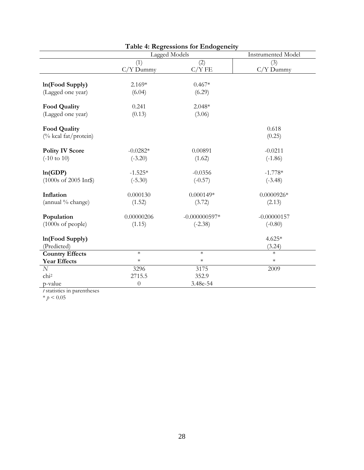| <b>Table 4: Regressions for Endogeneity</b> |               |                           |               |  |
|---------------------------------------------|---------------|---------------------------|---------------|--|
|                                             | Lagged Models | <b>Instrumented Model</b> |               |  |
|                                             | (1)           | (2)                       | (3)           |  |
|                                             | $C/Y$ Dummy   | C/YFE                     | $C/Y$ Dummy   |  |
| In(Food Supply)                             | $2.169*$      | $0.467*$                  |               |  |
| (Lagged one year)                           | (6.04)        | (6.29)                    |               |  |
| <b>Food Quality</b>                         | 0.241         | $2.048*$                  |               |  |
| (Lagged one year)                           | (0.13)        | (3.06)                    |               |  |
| <b>Food Quality</b>                         |               |                           | 0.618         |  |
| (% kcal fat/protein)                        |               |                           | (0.25)        |  |
| <b>Polity IV Score</b>                      | $-0.0282*$    | 0.00891                   | $-0.0211$     |  |
| $(-10 \text{ to } 10)$                      | $(-3.20)$     | (1.62)                    | $(-1.86)$     |  |
| ln(GDP)                                     | $-1.525*$     | $-0.0356$                 | $-1.778*$     |  |
| (1000s of 2005 Int\$)                       | $(-5.30)$     | $(-0.57)$                 | $(-3.48)$     |  |
| Inflation                                   | 0.000130      | $0.000149*$               | $0.0000926*$  |  |
| (annual % change)                           | (1.52)        | (3.72)                    | (2.13)        |  |
| Population                                  | 0.00000206    | $-0.000000597*$           | $-0.00000157$ |  |
| $(1000s \text{ of people})$                 | (1.15)        | $(-2.38)$                 | $(-0.80)$     |  |
| In(Food Supply)                             |               |                           | $4.625*$      |  |
| (Predicted)                                 |               |                           | (3.24)        |  |
| <b>Country Effects</b>                      | $\ast$        | $\ast$                    | $\ast$        |  |
| <b>Year Effects</b>                         | $\ast$        | $\ast$                    | $\ast$        |  |
| $\cal N$                                    | 3296          | 3175                      | 2009          |  |
| chi <sup>2</sup>                            | 2715.5        | 352.9                     |               |  |
| p-value                                     | $\theta$      | 3.48e-54                  |               |  |

*t* statistics in parentheses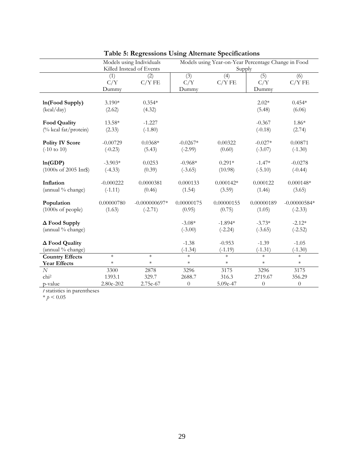|                             | Models using Individuals |                 | Models using Year-on-Year Percentage Change in Food |             |            |                |
|-----------------------------|--------------------------|-----------------|-----------------------------------------------------|-------------|------------|----------------|
|                             | Killed Instead of Events |                 | Supply                                              |             |            |                |
|                             | (1)                      | (2)             | (3)                                                 | (4)         | (5)        | (6)            |
|                             | C/Y                      | C/YFE           | C/Y                                                 | $C/Y$ FE    | C/Y        | C/YFE          |
|                             | Dummy                    |                 | Dummy                                               |             | Dummy      |                |
| In(Food Supply)             | $3.190*$                 | $0.354*$        |                                                     |             | $2.02*$    | $0.454*$       |
| (kcal/day)                  | (2.62)                   | (4.32)          |                                                     |             | (5.48)     | (6.06)         |
|                             |                          |                 |                                                     |             |            |                |
| <b>Food Quality</b>         | 13.58*                   | $-1.227$        |                                                     |             | $-0.367$   | $1.86*$        |
| (% kcal fat/protein)        | (2.33)                   | $(-1.80)$       |                                                     |             | $(-0.18)$  | (2.74)         |
| <b>Polity IV Score</b>      | $-0.00729$               | $0.0368*$       | $-0.0267*$                                          | 0.00322     | $-0.027*$  | 0.00871        |
| $(-10 \text{ to } 10)$      | $(-0.23)$                | (5.43)          | $(-2.99)$                                           | (0.60)      | $(-3.07)$  | $(-1.30)$      |
|                             |                          |                 |                                                     |             |            |                |
| ln(GDP)                     | $-3.903*$                | 0.0253          | $-0.968*$                                           | $0.291*$    | $-1.47*$   | $-0.0278$      |
| (1000s of 2005 Int\$)       | $(-4.33)$                | (0.39)          | $(-3.65)$                                           | (10.98)     | $(-5.10)$  | $(-0.44)$      |
| Inflation                   | $-0.000222$              | 0.0000381       | 0.000133                                            | $0.000142*$ | 0.000122   | $0.000148*$    |
| (annual % change)           | $(-1.11)$                | (0.46)          | (1.54)                                              | (3.59)      | (1.46)     | (3.65)         |
| Population                  | 0.00000780               | $-0.000000697*$ | 0.00000175                                          | 0.00000155  | 0.00000189 | $-0.00000584*$ |
| $(1000s \text{ of people})$ | (1.63)                   | $(-2.71)$       | (0.95)                                              | (0.75)      | (1.05)     | $(-2.33)$      |
|                             |                          |                 |                                                     |             |            |                |
| $\Delta$ Food Supply        |                          |                 | $-3.08*$                                            | $-1.894*$   | $-3.73*$   | $-2.12*$       |
| (annual % change)           |                          |                 | $(-3.00)$                                           | $(-2.24)$   | $(-3.65)$  | $(-2.52)$      |
| ∆ Food Quality              |                          |                 | $-1.38$                                             | $-0.953$    | $-1.39$    | $-1.05$        |
| (annual % change)           |                          |                 | $(-1.34)$                                           | $(-1.19)$   | $(-1.31)$  | $(-1.30)$      |
| <b>Country Effects</b>      | $\ast$                   | $\ast$          | $\ast$                                              | $\ast$      | $\ast$     | $\ast$         |
| <b>Year Effects</b>         | $\ast$                   | $\ast$          | $\ast$                                              | $\ast$      | $\ast$     | $\ast$         |
| N                           | 3300                     | 2878            | 3296                                                | 3175        | 3296       | 3175           |
| chi <sup>2</sup>            | 1393.1                   | 329.7           | 2688.7                                              | 316.3       | 2719.67    | 356.29         |
| p-value                     | 2.80e-202                | 2.75e-67        | $\theta$                                            | 5.09e-47    | $\theta$   | $\theta$       |

### **Table 5: Regressions Using Alternate Specifications**

*t* statistics in parentheses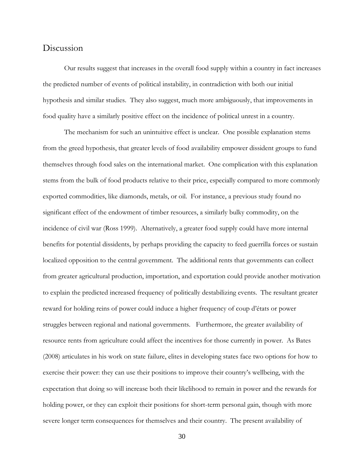### Discussion

Our results suggest that increases in the overall food supply within a country in fact increases the predicted number of events of political instability, in contradiction with both our initial hypothesis and similar studies. They also suggest, much more ambiguously, that improvements in food quality have a similarly positive effect on the incidence of political unrest in a country.

The mechanism for such an unintuitive effect is unclear. One possible explanation stems from the greed hypothesis, that greater levels of food availability empower dissident groups to fund themselves through food sales on the international market. One complication with this explanation stems from the bulk of food products relative to their price, especially compared to more commonly exported commodities, like diamonds, metals, or oil. For instance, a previous study found no significant effect of the endowment of timber resources, a similarly bulky commodity, on the incidence of civil war (Ross 1999). Alternatively, a greater food supply could have more internal benefits for potential dissidents, by perhaps providing the capacity to feed guerrilla forces or sustain localized opposition to the central government. The additional rents that governments can collect from greater agricultural production, importation, and exportation could provide another motivation to explain the predicted increased frequency of politically destabilizing events. The resultant greater reward for holding reins of power could induce a higher frequency of coup d'états or power struggles between regional and national governments. Furthermore, the greater availability of resource rents from agriculture could affect the incentives for those currently in power. As Bates (2008) articulates in his work on state failure, elites in developing states face two options for how to exercise their power: they can use their positions to improve their country's wellbeing, with the expectation that doing so will increase both their likelihood to remain in power and the rewards for holding power, or they can exploit their positions for short-term personal gain, though with more severe longer term consequences for themselves and their country. The present availability of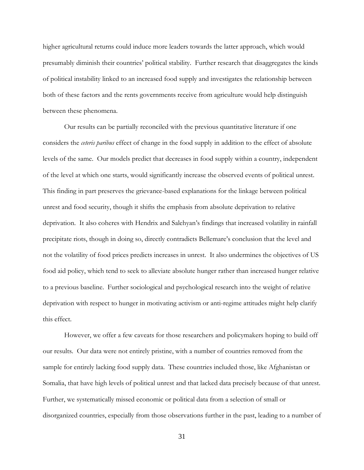higher agricultural returns could induce more leaders towards the latter approach, which would presumably diminish their countries' political stability. Further research that disaggregates the kinds of political instability linked to an increased food supply and investigates the relationship between both of these factors and the rents governments receive from agriculture would help distinguish between these phenomena.

Our results can be partially reconciled with the previous quantitative literature if one considers the *ceteris paribus* effect of change in the food supply in addition to the effect of absolute levels of the same. Our models predict that decreases in food supply within a country, independent of the level at which one starts, would significantly increase the observed events of political unrest. This finding in part preserves the grievance-based explanations for the linkage between political unrest and food security, though it shifts the emphasis from absolute deprivation to relative deprivation. It also coheres with Hendrix and Salehyan's findings that increased volatility in rainfall precipitate riots, though in doing so, directly contradicts Bellemare's conclusion that the level and not the volatility of food prices predicts increases in unrest. It also undermines the objectives of US food aid policy, which tend to seek to alleviate absolute hunger rather than increased hunger relative to a previous baseline. Further sociological and psychological research into the weight of relative deprivation with respect to hunger in motivating activism or anti-regime attitudes might help clarify this effect.

However, we offer a few caveats for those researchers and policymakers hoping to build off our results. Our data were not entirely pristine, with a number of countries removed from the sample for entirely lacking food supply data. These countries included those, like Afghanistan or Somalia, that have high levels of political unrest and that lacked data precisely because of that unrest. Further, we systematically missed economic or political data from a selection of small or disorganized countries, especially from those observations further in the past, leading to a number of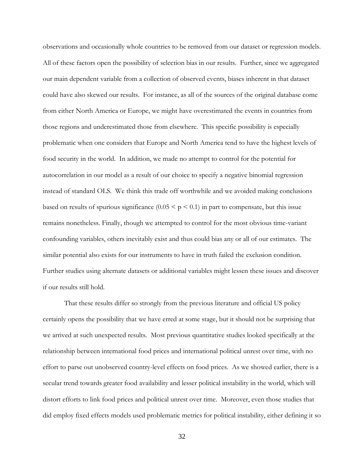observations and occasionally whole countries to be removed from our dataset or regression models. All of these factors open the possibility of selection bias in our results. Further, since we aggregated our main dependent variable from a collection of observed events, biases inherent in that dataset could have also skewed our results. For instance, as all of the sources of the original database come from either North America or Europe, we might have overestimated the events in countries from those regions and underestimated those from elsewhere. This specific possibility is especially problematic when one considers that Europe and North America tend to have the highest levels of food security in the world. In addition, we made no attempt to control for the potential for autocorrelation in our model as a result of our choice to specify a negative binomial regression instead of standard OLS. We think this trade off worthwhile and we avoided making conclusions based on results of spurious significance  $(0.05 \le p \le 0.1)$  in part to compensate, but this issue remains nonetheless. Finally, though we attempted to control for the most obvious time-variant confounding variables, others inevitably exist and thus could bias any or all of our estimates. The similar potential also exists for our instruments to have in truth failed the exclusion condition. Further studies using alternate datasets or additional variables might lessen these issues and discover if our results still hold.

That these results differ so strongly from the previous literature and official US policy certainly opens the possibility that we have erred at some stage, but it should not be surprising that we arrived at such unexpected results. Most previous quantitative studies looked specifically at the relationship between international food prices and international political unrest over time, with no effort to parse out unobserved country-level effects on food prices. As we showed earlier, there is a secular trend towards greater food availability and lesser political instability in the world, which will distort efforts to link food prices and political unrest over time. Moreover, even those studies that did employ fixed effects models used problematic metrics for political instability, either defining it so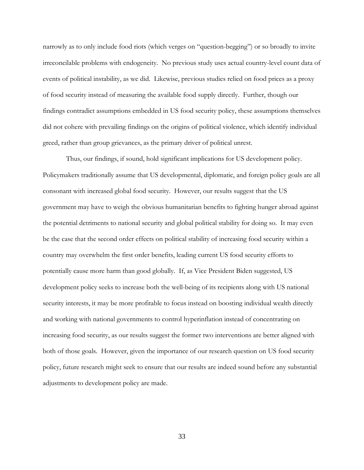narrowly as to only include food riots (which verges on "question-begging") or so broadly to invite irreconcilable problems with endogeneity. No previous study uses actual country-level count data of events of political instability, as we did. Likewise, previous studies relied on food prices as a proxy of food security instead of measuring the available food supply directly. Further, though our findings contradict assumptions embedded in US food security policy, these assumptions themselves did not cohere with prevailing findings on the origins of political violence, which identify individual greed, rather than group grievances, as the primary driver of political unrest.

Thus, our findings, if sound, hold significant implications for US development policy. Policymakers traditionally assume that US developmental, diplomatic, and foreign policy goals are all consonant with increased global food security. However, our results suggest that the US government may have to weigh the obvious humanitarian benefits to fighting hunger abroad against the potential detriments to national security and global political stability for doing so. It may even be the case that the second order effects on political stability of increasing food security within a country may overwhelm the first order benefits, leading current US food security efforts to potentially cause more harm than good globally. If, as Vice President Biden suggested, US development policy seeks to increase both the well-being of its recipients along with US national security interests, it may be more profitable to focus instead on boosting individual wealth directly and working with national governments to control hyperinflation instead of concentrating on increasing food security, as our results suggest the former two interventions are better aligned with both of those goals. However, given the importance of our research question on US food security policy, future research might seek to ensure that our results are indeed sound before any substantial adjustments to development policy are made.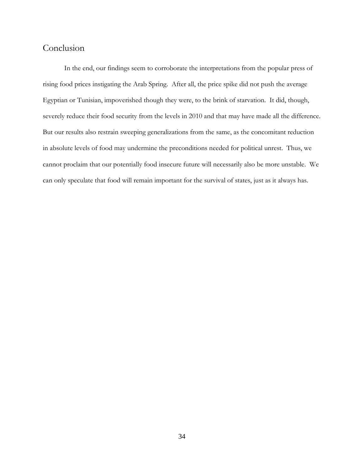### Conclusion

In the end, our findings seem to corroborate the interpretations from the popular press of rising food prices instigating the Arab Spring. After all, the price spike did not push the average Egyptian or Tunisian, impoverished though they were, to the brink of starvation. It did, though, severely reduce their food security from the levels in 2010 and that may have made all the difference. But our results also restrain sweeping generalizations from the same, as the concomitant reduction in absolute levels of food may undermine the preconditions needed for political unrest. Thus, we cannot proclaim that our potentially food insecure future will necessarily also be more unstable. We can only speculate that food will remain important for the survival of states, just as it always has.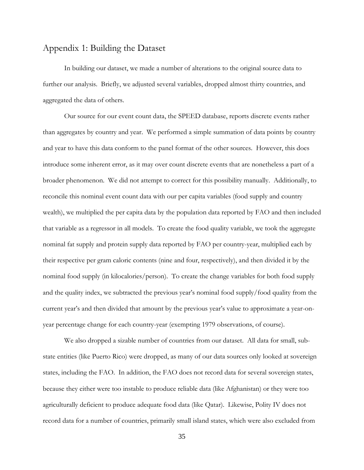### Appendix 1: Building the Dataset

In building our dataset, we made a number of alterations to the original source data to further our analysis. Briefly, we adjusted several variables, dropped almost thirty countries, and aggregated the data of others.

Our source for our event count data, the SPEED database, reports discrete events rather than aggregates by country and year. We performed a simple summation of data points by country and year to have this data conform to the panel format of the other sources. However, this does introduce some inherent error, as it may over count discrete events that are nonetheless a part of a broader phenomenon. We did not attempt to correct for this possibility manually. Additionally, to reconcile this nominal event count data with our per capita variables (food supply and country wealth), we multiplied the per capita data by the population data reported by FAO and then included that variable as a regressor in all models. To create the food quality variable, we took the aggregate nominal fat supply and protein supply data reported by FAO per country-year, multiplied each by their respective per gram caloric contents (nine and four, respectively), and then divided it by the nominal food supply (in kilocalories/person). To create the change variables for both food supply and the quality index, we subtracted the previous year's nominal food supply/food quality from the current year's and then divided that amount by the previous year's value to approximate a year-onyear percentage change for each country-year (exempting 1979 observations, of course).

We also dropped a sizable number of countries from our dataset. All data for small, substate entities (like Puerto Rico) were dropped, as many of our data sources only looked at sovereign states, including the FAO. In addition, the FAO does not record data for several sovereign states, because they either were too instable to produce reliable data (like Afghanistan) or they were too agriculturally deficient to produce adequate food data (like Qatar). Likewise, Polity IV does not record data for a number of countries, primarily small island states, which were also excluded from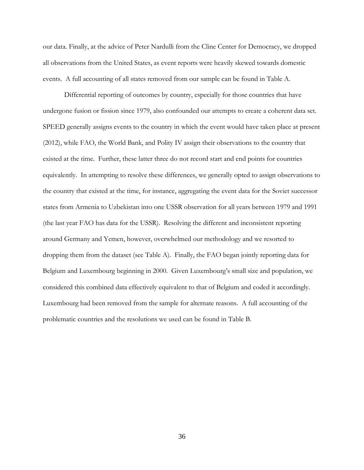our data. Finally, at the advice of Peter Nardulli from the Cline Center for Democracy, we dropped all observations from the United States, as event reports were heavily skewed towards domestic events. A full accounting of all states removed from our sample can be found in Table A.

Differential reporting of outcomes by country, especially for those countries that have undergone fusion or fission since 1979, also confounded our attempts to create a coherent data set. SPEED generally assigns events to the country in which the event would have taken place at present (2012), while FAO, the World Bank, and Polity IV assign their observations to the country that existed at the time. Further, these latter three do not record start and end points for countries equivalently. In attempting to resolve these differences, we generally opted to assign observations to the country that existed at the time, for instance, aggregating the event data for the Soviet successor states from Armenia to Uzbekistan into one USSR observation for all years between 1979 and 1991 (the last year FAO has data for the USSR). Resolving the different and inconsistent reporting around Germany and Yemen, however, overwhelmed our methodology and we resorted to dropping them from the dataset (see Table A). Finally, the FAO began jointly reporting data for Belgium and Luxembourg beginning in 2000. Given Luxembourg's small size and population, we considered this combined data effectively equivalent to that of Belgium and coded it accordingly. Luxembourg had been removed from the sample for alternate reasons. A full accounting of the problematic countries and the resolutions we used can be found in Table B.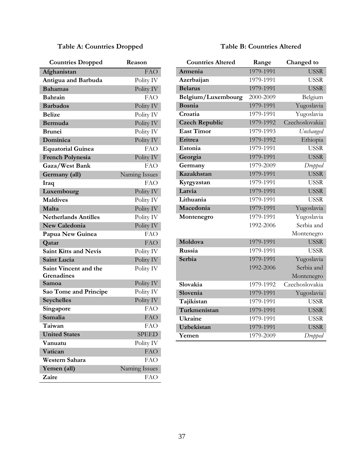### **Table A: Countries Dropped**

### **Table B: Countries Altered**

| <b>Countries Dropped</b>     | Reason        |
|------------------------------|---------------|
| Afghanistan                  | <b>FAO</b>    |
| Antigua and Barbuda          | Polity IV     |
| <b>Bahamas</b>               | Polity IV     |
| <b>Bahrain</b>               | <b>FAO</b>    |
| <b>Barbados</b>              | Polity IV     |
| <b>Belize</b>                | Polity IV     |
| Bermuda                      | Polity IV     |
| <b>Brunei</b>                | Polity IV     |
| Dominica                     | Polity IV     |
| <b>Equatorial Guinea</b>     | FAO           |
| <b>French Polynesia</b>      | Polity IV     |
| Gaza/West Bank               | <b>FAO</b>    |
| Germany (all)                | Naming Issues |
| Iraq                         | FAO           |
| Luxembourg                   | Polity IV     |
| <b>Maldives</b>              | Polity IV     |
| Malta                        | Polity IV     |
| <b>Netherlands Antilles</b>  | Polity IV     |
| <b>New Caledonia</b>         | Polity IV     |
| Papua New Guinea             | FAO           |
| Qatar                        | <b>FAO</b>    |
| <b>Saint Kitts and Nevis</b> | Polity IV     |
| <b>Saint Lucia</b>           | Polity IV     |
| Saint Vincent and the        | Polity IV     |
| Grenadines                   |               |
| Samoa                        | Polity IV     |
| Sao Tome and Principe        | Polity IV     |
| <b>Seychelles</b>            | Polity IV     |
| Singapore                    | FAO           |
| Somalia                      | <b>FAO</b>    |
| <b>Taiwan</b>                | FAO           |
| <b>United States</b>         | <b>SPEED</b>  |
| Vanuatu                      | Polity IV     |
| Vatican                      | <b>FAO</b>    |
| Western Sahara               | <b>FAO</b>    |
| Yemen (all)                  | Naming Issues |
| Zaire                        | FAO           |

| 1979-1991<br><b>USSR</b><br>Armenia<br>1979-1991<br><b>USSR</b><br>Azerbaijan<br><b>USSR</b><br>1979-1991<br><b>Belarus</b><br>Belgium/Luxembourg<br>2000-2009<br>Belgium<br><b>Bosnia</b><br>1979-1991<br>Yugoslavia<br>Yugoslavia<br>Croatia<br>1979-1991<br>Czechoslovakia<br>1979-1992<br><b>Czech Republic</b><br><b>East Timor</b><br>1979-1993<br>Unchanged<br>Eritrea<br>1979-1992<br>Ethiopia<br>1979-1991<br><b>USSR</b><br>Estonia<br><b>USSR</b><br>1979-1991<br>Georgia<br>1979-2009<br>Germany<br>Dropped<br>Kazakhstan<br>1979-1991<br><b>USSR</b><br>1979-1991<br><b>USSR</b><br>Kyrgyzstan<br>1979-1991<br><b>USSR</b><br>Latvia<br>Lithuania<br>1979-1991<br><b>USSR</b><br>Macedonia<br>1979-1991<br>Yugoslavia<br>1979-1991<br>Yugoslavia<br>Montenegro<br>Serbia and<br>1992-2006<br>Montenegro<br><b>USSR</b><br>Moldova<br>1979-1991<br>1979-1991<br>Russia<br><b>USSR</b><br>Serbia<br>1979-1991<br>Yugoslavia<br>Serbia and<br>1992-2006<br>Montenegro<br>Slovakia<br>1979-1992<br>Czechoslovakia<br>Slovenia<br>1979-1991<br>Yugoslavia<br>Tajikistan<br>1979-1991<br><b>USSR</b><br>Turkmenistan<br>1979-1991<br><b>USSR</b><br><b>Ukraine</b><br>1979-1991<br><b>USSR</b><br>Uzbekistan<br>1979-1991<br><b>USSR</b><br>1979-2009<br>Yemen<br>Dropped | <b>Countries Altered</b> | Range | Changed to |
|----------------------------------------------------------------------------------------------------------------------------------------------------------------------------------------------------------------------------------------------------------------------------------------------------------------------------------------------------------------------------------------------------------------------------------------------------------------------------------------------------------------------------------------------------------------------------------------------------------------------------------------------------------------------------------------------------------------------------------------------------------------------------------------------------------------------------------------------------------------------------------------------------------------------------------------------------------------------------------------------------------------------------------------------------------------------------------------------------------------------------------------------------------------------------------------------------------------------------------------------------------------------------------|--------------------------|-------|------------|
|                                                                                                                                                                                                                                                                                                                                                                                                                                                                                                                                                                                                                                                                                                                                                                                                                                                                                                                                                                                                                                                                                                                                                                                                                                                                                  |                          |       |            |
|                                                                                                                                                                                                                                                                                                                                                                                                                                                                                                                                                                                                                                                                                                                                                                                                                                                                                                                                                                                                                                                                                                                                                                                                                                                                                  |                          |       |            |
|                                                                                                                                                                                                                                                                                                                                                                                                                                                                                                                                                                                                                                                                                                                                                                                                                                                                                                                                                                                                                                                                                                                                                                                                                                                                                  |                          |       |            |
|                                                                                                                                                                                                                                                                                                                                                                                                                                                                                                                                                                                                                                                                                                                                                                                                                                                                                                                                                                                                                                                                                                                                                                                                                                                                                  |                          |       |            |
|                                                                                                                                                                                                                                                                                                                                                                                                                                                                                                                                                                                                                                                                                                                                                                                                                                                                                                                                                                                                                                                                                                                                                                                                                                                                                  |                          |       |            |
|                                                                                                                                                                                                                                                                                                                                                                                                                                                                                                                                                                                                                                                                                                                                                                                                                                                                                                                                                                                                                                                                                                                                                                                                                                                                                  |                          |       |            |
|                                                                                                                                                                                                                                                                                                                                                                                                                                                                                                                                                                                                                                                                                                                                                                                                                                                                                                                                                                                                                                                                                                                                                                                                                                                                                  |                          |       |            |
|                                                                                                                                                                                                                                                                                                                                                                                                                                                                                                                                                                                                                                                                                                                                                                                                                                                                                                                                                                                                                                                                                                                                                                                                                                                                                  |                          |       |            |
|                                                                                                                                                                                                                                                                                                                                                                                                                                                                                                                                                                                                                                                                                                                                                                                                                                                                                                                                                                                                                                                                                                                                                                                                                                                                                  |                          |       |            |
|                                                                                                                                                                                                                                                                                                                                                                                                                                                                                                                                                                                                                                                                                                                                                                                                                                                                                                                                                                                                                                                                                                                                                                                                                                                                                  |                          |       |            |
|                                                                                                                                                                                                                                                                                                                                                                                                                                                                                                                                                                                                                                                                                                                                                                                                                                                                                                                                                                                                                                                                                                                                                                                                                                                                                  |                          |       |            |
|                                                                                                                                                                                                                                                                                                                                                                                                                                                                                                                                                                                                                                                                                                                                                                                                                                                                                                                                                                                                                                                                                                                                                                                                                                                                                  |                          |       |            |
|                                                                                                                                                                                                                                                                                                                                                                                                                                                                                                                                                                                                                                                                                                                                                                                                                                                                                                                                                                                                                                                                                                                                                                                                                                                                                  |                          |       |            |
|                                                                                                                                                                                                                                                                                                                                                                                                                                                                                                                                                                                                                                                                                                                                                                                                                                                                                                                                                                                                                                                                                                                                                                                                                                                                                  |                          |       |            |
|                                                                                                                                                                                                                                                                                                                                                                                                                                                                                                                                                                                                                                                                                                                                                                                                                                                                                                                                                                                                                                                                                                                                                                                                                                                                                  |                          |       |            |
|                                                                                                                                                                                                                                                                                                                                                                                                                                                                                                                                                                                                                                                                                                                                                                                                                                                                                                                                                                                                                                                                                                                                                                                                                                                                                  |                          |       |            |
|                                                                                                                                                                                                                                                                                                                                                                                                                                                                                                                                                                                                                                                                                                                                                                                                                                                                                                                                                                                                                                                                                                                                                                                                                                                                                  |                          |       |            |
|                                                                                                                                                                                                                                                                                                                                                                                                                                                                                                                                                                                                                                                                                                                                                                                                                                                                                                                                                                                                                                                                                                                                                                                                                                                                                  |                          |       |            |
|                                                                                                                                                                                                                                                                                                                                                                                                                                                                                                                                                                                                                                                                                                                                                                                                                                                                                                                                                                                                                                                                                                                                                                                                                                                                                  |                          |       |            |
|                                                                                                                                                                                                                                                                                                                                                                                                                                                                                                                                                                                                                                                                                                                                                                                                                                                                                                                                                                                                                                                                                                                                                                                                                                                                                  |                          |       |            |
|                                                                                                                                                                                                                                                                                                                                                                                                                                                                                                                                                                                                                                                                                                                                                                                                                                                                                                                                                                                                                                                                                                                                                                                                                                                                                  |                          |       |            |
|                                                                                                                                                                                                                                                                                                                                                                                                                                                                                                                                                                                                                                                                                                                                                                                                                                                                                                                                                                                                                                                                                                                                                                                                                                                                                  |                          |       |            |
|                                                                                                                                                                                                                                                                                                                                                                                                                                                                                                                                                                                                                                                                                                                                                                                                                                                                                                                                                                                                                                                                                                                                                                                                                                                                                  |                          |       |            |
|                                                                                                                                                                                                                                                                                                                                                                                                                                                                                                                                                                                                                                                                                                                                                                                                                                                                                                                                                                                                                                                                                                                                                                                                                                                                                  |                          |       |            |
|                                                                                                                                                                                                                                                                                                                                                                                                                                                                                                                                                                                                                                                                                                                                                                                                                                                                                                                                                                                                                                                                                                                                                                                                                                                                                  |                          |       |            |
|                                                                                                                                                                                                                                                                                                                                                                                                                                                                                                                                                                                                                                                                                                                                                                                                                                                                                                                                                                                                                                                                                                                                                                                                                                                                                  |                          |       |            |
|                                                                                                                                                                                                                                                                                                                                                                                                                                                                                                                                                                                                                                                                                                                                                                                                                                                                                                                                                                                                                                                                                                                                                                                                                                                                                  |                          |       |            |
|                                                                                                                                                                                                                                                                                                                                                                                                                                                                                                                                                                                                                                                                                                                                                                                                                                                                                                                                                                                                                                                                                                                                                                                                                                                                                  |                          |       |            |
|                                                                                                                                                                                                                                                                                                                                                                                                                                                                                                                                                                                                                                                                                                                                                                                                                                                                                                                                                                                                                                                                                                                                                                                                                                                                                  |                          |       |            |
|                                                                                                                                                                                                                                                                                                                                                                                                                                                                                                                                                                                                                                                                                                                                                                                                                                                                                                                                                                                                                                                                                                                                                                                                                                                                                  |                          |       |            |
|                                                                                                                                                                                                                                                                                                                                                                                                                                                                                                                                                                                                                                                                                                                                                                                                                                                                                                                                                                                                                                                                                                                                                                                                                                                                                  |                          |       |            |
|                                                                                                                                                                                                                                                                                                                                                                                                                                                                                                                                                                                                                                                                                                                                                                                                                                                                                                                                                                                                                                                                                                                                                                                                                                                                                  |                          |       |            |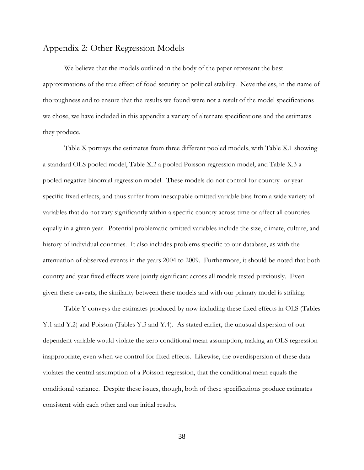### Appendix 2: Other Regression Models

We believe that the models outlined in the body of the paper represent the best approximations of the true effect of food security on political stability. Nevertheless, in the name of thoroughness and to ensure that the results we found were not a result of the model specifications we chose, we have included in this appendix a variety of alternate specifications and the estimates they produce.

Table X portrays the estimates from three different pooled models, with Table X.1 showing a standard OLS pooled model, Table X.2 a pooled Poisson regression model, and Table X.3 a pooled negative binomial regression model. These models do not control for country- or yearspecific fixed effects, and thus suffer from inescapable omitted variable bias from a wide variety of variables that do not vary significantly within a specific country across time or affect all countries equally in a given year. Potential problematic omitted variables include the size, climate, culture, and history of individual countries. It also includes problems specific to our database, as with the attenuation of observed events in the years 2004 to 2009. Furthermore, it should be noted that both country and year fixed effects were jointly significant across all models tested previously. Even given these caveats, the similarity between these models and with our primary model is striking.

Table Y conveys the estimates produced by now including these fixed effects in OLS (Tables Y.1 and Y.2) and Poisson (Tables Y.3 and Y.4). As stated earlier, the unusual dispersion of our dependent variable would violate the zero conditional mean assumption, making an OLS regression inappropriate, even when we control for fixed effects. Likewise, the overdispersion of these data violates the central assumption of a Poisson regression, that the conditional mean equals the conditional variance. Despite these issues, though, both of these specifications produce estimates consistent with each other and our initial results.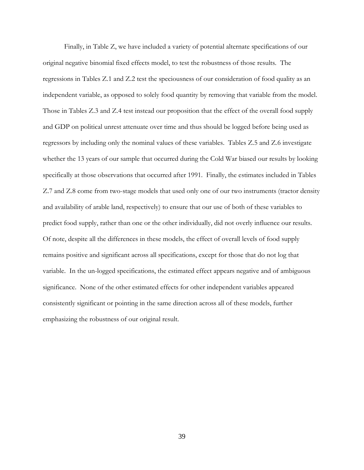Finally, in Table Z, we have included a variety of potential alternate specifications of our original negative binomial fixed effects model, to test the robustness of those results. The regressions in Tables Z.1 and Z.2 test the speciousness of our consideration of food quality as an independent variable, as opposed to solely food quantity by removing that variable from the model. Those in Tables Z.3 and Z.4 test instead our proposition that the effect of the overall food supply and GDP on political unrest attenuate over time and thus should be logged before being used as regressors by including only the nominal values of these variables. Tables Z.5 and Z.6 investigate whether the 13 years of our sample that occurred during the Cold War biased our results by looking specifically at those observations that occurred after 1991. Finally, the estimates included in Tables Z.7 and Z.8 come from two-stage models that used only one of our two instruments (tractor density and availability of arable land, respectively) to ensure that our use of both of these variables to predict food supply, rather than one or the other individually, did not overly influence our results. Of note, despite all the differences in these models, the effect of overall levels of food supply remains positive and significant across all specifications, except for those that do not log that variable. In the un-logged specifications, the estimated effect appears negative and of ambiguous significance. None of the other estimated effects for other independent variables appeared consistently significant or pointing in the same direction across all of these models, further emphasizing the robustness of our original result.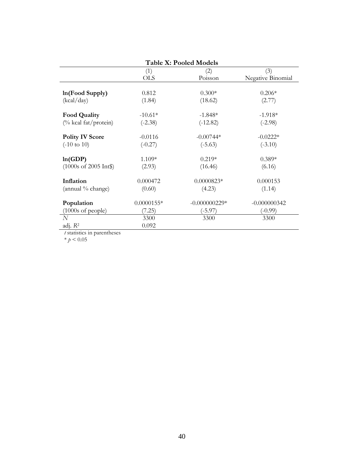| <b>Table X: Pooled Models</b>          |              |                 |                   |  |
|----------------------------------------|--------------|-----------------|-------------------|--|
|                                        | (1)          | (2)             | (3)               |  |
|                                        | <b>OLS</b>   | Poisson         | Negative Binomial |  |
|                                        |              |                 |                   |  |
| $ln(Food$ Supply $)$                   | 0.812        | $0.300*$        | $0.206*$          |  |
| (kcal/day)                             | (1.84)       | (18.62)         | (2.77)            |  |
| <b>Food Quality</b>                    | $-10.61*$    | $-1.848*$       | $-1.918*$         |  |
| (% kcal fat/protein)                   | $(-2.38)$    | $(-12.82)$      | $(-2.98)$         |  |
| <b>Polity IV Score</b>                 | $-0.0116$    | $-0.00744*$     | $-0.0222*$        |  |
| $(-10 \text{ to } 10)$                 | $(-0.27)$    | $(-5.63)$       | $(-3.10)$         |  |
| ln(GDP)                                | $1.109*$     | $0.219*$        | $0.389*$          |  |
| $(1000s \text{ of } 2005 \text{ Int})$ | (2.93)       | (16.46)         | (6.16)            |  |
| Inflation                              | 0.000472     | $0.0000823*$    | 0.000153          |  |
| (annual % change)                      | (0.60)       | (4.23)          | (1.14)            |  |
| Population                             | $0.0000155*$ | $-0.000000229*$ | $-0.000000342$    |  |
| $(1000s \text{ of people})$            | (7.25)       | $(-5.97)$       | $(-0.99)$         |  |
| N                                      | 3300         | 3300            | 3300              |  |
| adj. $R^2$                             | 0.092        |                 |                   |  |

*t* statistics in parentheses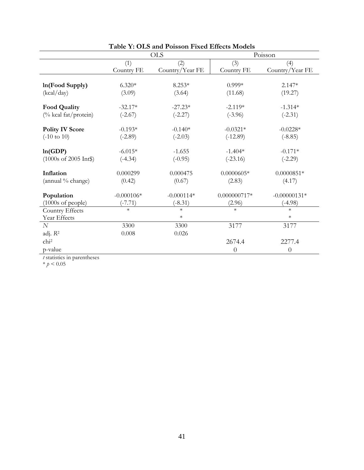|                                        |              | <b>OLS</b>      | Poisson        |                 |  |
|----------------------------------------|--------------|-----------------|----------------|-----------------|--|
|                                        | (1)          | (2)             | (3)            | (4)             |  |
|                                        | Country FE   | Country/Year FE | Country FE     | Country/Year FE |  |
|                                        |              |                 |                |                 |  |
| In(Food Supply)                        | $6.320*$     | $8.253*$        | $0.999*$       | $2.147*$        |  |
| (kcal/day)                             | (3.09)       | (3.64)          | (11.68)        | (19.27)         |  |
|                                        |              |                 |                |                 |  |
| <b>Food Quality</b>                    | $-32.17*$    | $-27.23*$       | $-2.119*$      | $-1.314*$       |  |
| (% kcal fat/protein)                   | $(-2.67)$    | $(-2.27)$       | $(-3.96)$      | $(-2.31)$       |  |
| <b>Polity IV Score</b>                 | $-0.193*$    | $-0.140*$       | $-0.0321*$     | $-0.0228*$      |  |
| $(-10 \text{ to } 10)$                 | $(-2.89)$    | $(-2.03)$       | $(-12.89)$     | $(-8.85)$       |  |
|                                        |              |                 |                |                 |  |
| ln(GDP)                                | $-6.015*$    | $-1.655$        | $-1.404*$      | $-0.171*$       |  |
| $(1000s \text{ of } 2005 \text{ Int})$ | $(-4.34)$    | $(-0.95)$       | $(-23.16)$     | $(-2.29)$       |  |
|                                        |              |                 |                |                 |  |
| Inflation                              | 0.000299     | 0.000475        | $0.0000605*$   | $0.0000851*$    |  |
| (annual % change)                      | (0.42)       | (0.67)          | (2.83)         | (4.17)          |  |
| Population                             | $-0.000106*$ | $-0.000114*$    | $0.000000717*$ | $-0.00000131*$  |  |
| $(1000s \text{ of people})$            | $(-7.71)$    | $(-8.31)$       | (2.96)         | $(-4.98)$       |  |
| Country Effects                        | $\ast$       | $\ast$          | $\ast$         | $\ast$          |  |
| Year Effects                           |              | $\ast$          |                | $\ast$          |  |
| N                                      | 3300         | 3300            | 3177           | 3177            |  |
| adj. R <sup>2</sup>                    | 0.008        | 0.026           |                |                 |  |
| chi <sup>2</sup>                       |              |                 | 2674.4         | 2277.4          |  |
| p-value                                |              |                 | $\overline{0}$ | $\theta$        |  |

### **Table Y: OLS and Poisson Fixed Effects Models**

*t* statistics in parentheses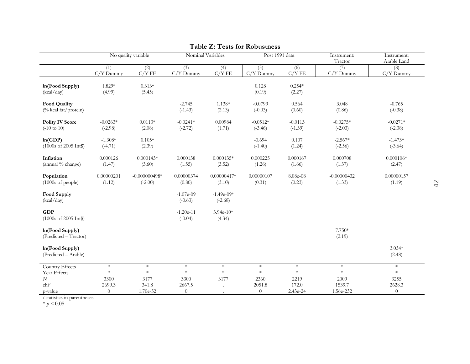| In(Food Supply)<br>(kcal/day)                        | $\overline{(1)}$<br>$C/Y$ Dummy<br>1.829*<br>(4.99) | $\overline{(2)}$<br>C/YFE<br>$0.313*$<br>(5.45) | $\overline{3)}$<br>$C/Y$ Dummy | (4)<br>C/YFE              | $\overline{(5)}$<br>$C/Y$ Dummy | $\overline{(6)}$<br>C/YFE | Tractor<br>(7)<br>$C/Y$ Dummy | Arable Land<br>(8)<br>$C/Y$ Dummy |
|------------------------------------------------------|-----------------------------------------------------|-------------------------------------------------|--------------------------------|---------------------------|---------------------------------|---------------------------|-------------------------------|-----------------------------------|
|                                                      |                                                     |                                                 |                                |                           |                                 |                           |                               |                                   |
|                                                      |                                                     |                                                 |                                |                           | 0.128<br>(0.19)                 | $0.254*$<br>(2.27)        |                               |                                   |
| <b>Food Quality</b><br>(% kcal fat/protein)          |                                                     |                                                 | $-2.745$<br>$(-1.43)$          | 1.138*<br>(2.13)          | $-0.0799$<br>$(-0.03)$          | 0.564<br>(0.60)           | 3.048<br>(0.86)               | $-0.765$<br>$(-0.38)$             |
| <b>Polity IV Score</b><br>$(-10 \text{ to } 10)$     | $-0.0263*$<br>$(-2.98)$                             | $0.0113*$<br>(2.08)                             | $-0.0241*$<br>$(-2.72)$        | 0.00984<br>(1.71)         | $-0.0512*$<br>$(-3.46)$         | $-0.0113$<br>$(-1.39)$    | $-0.0275*$<br>$(-2.03)$       | $-0.0271*$<br>$(-2.38)$           |
| ln(GDP)<br>$(1000s \text{ of } 2005 \text{ Int})$    | $-1.308*$<br>$(-4.71)$                              | $0.105*$<br>(2.39)                              |                                |                           | $-0.694$<br>$(-1.40)$           | 0.107<br>(1.24)           | $-2.567*$<br>$(-2.56)$        | $-1.473*$<br>$(-3.64)$            |
| Inflation<br>(annual % change)                       | 0.000126<br>(1.47)                                  | $0.000143*$<br>(3.60)                           | 0.000138<br>(1.55)             | $0.000135*$<br>(3.52)     | 0.000225<br>(1.26)              | 0.000167<br>(1.66)        | 0.000708<br>(1.37)            | $0.000106*$<br>(2.47)             |
| Population<br>$(1000s \text{ of people})$            | 0.00000201<br>(1.12)                                | $-0.000000498*$<br>$(-2.00)$                    | 0.00000374<br>(0.80)           | $0.00000417*$<br>(3.10)   | 0.00000107<br>(0.31)            | 8.08e-08<br>(0.23)        | $-0.00000432$<br>(1.33)       | 0.00000157<br>(1.19)              |
| <b>Food Supply</b><br>(kcal/day)                     |                                                     |                                                 | $-1.07e-09$<br>$(-0.63)$       | $-1.49e-09*$<br>$(-2.68)$ |                                 |                           |                               |                                   |
| <b>GDP</b><br>$(1000s \text{ of } 2005 \text{ Int})$ |                                                     |                                                 | $-1.20e-11$<br>$(-0.04)$       | $3.94e-10*$<br>(4.34)     |                                 |                           |                               |                                   |
| In(Food Supply)<br>(Predicted - Tractor)             |                                                     |                                                 |                                |                           |                                 |                           | 7.750*<br>(2.19)              |                                   |
| In(Food Supply)<br>(Predicted - Arable)              |                                                     |                                                 |                                |                           |                                 |                           |                               | $3.034*$<br>(2.48)                |
| Country Effects                                      | $\ast$                                              | $\ast$                                          | $\ast$                         | $\ast$                    | $\ast$                          | $\ast$                    | $\ast$                        | $\ast$                            |
| Year Effects                                         | $\ast$                                              | $\ast$                                          | $\ast$                         | $\ast$                    | $\ast$                          | $\ast$                    | $\ast$                        | $\ast$                            |
| $\overline{N}$                                       | 3300                                                | 3177                                            | 3300                           | 3177                      | 2360                            | 2219                      | 2009                          | 3255                              |
| chi <sup>2</sup><br>p-value                          | 2699.3<br>$\theta$                                  | 341.8<br>1.70e-52                               | 2667.5<br>$\overline{0}$       |                           | 2051.8<br>$\boldsymbol{0}$      | 172.0<br>2.43e-24         | 1539.7<br>1.56e-232           | 2628.3<br>$\overline{0}$          |

#### **Table Z: Tests for Robustness**

*t* statistics in parentheses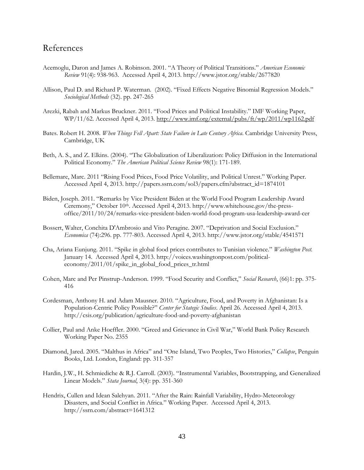### References

- Acemoglu, Daron and James A. Robinson. 2001. "A Theory of Political Transitions." *American Economic Review* 91(4): 938-963. Accessed April 4, 2013. http://www.jstor.org/stable/2677820
- Allison, Paul D. and Richard P. Waterman. (2002). "Fixed Effects Negative Binomial Regression Models." *Sociological Methods* (32). pp. 247-265
- Arezki, Rabah and Markus Bruckner. 2011. "Food Prices and Political Instability." IMF Working Paper, WP/11/62. Accessed April 4, 2013. http://www.imf.org/external/pubs/ft/wp/2011/wp1162.pdf
- Bates. Robert H. 2008. *When Things Fell Apart: State Failure in Late Century Africa*. Cambridge University Press, Cambridge, UK
- Beth, A. S., and Z. Elkins. (2004). "The Globalization of Liberalization: Policy Diffusion in the International Political Economy." *The American Political Science Review* 98(1): 171-189.
- Bellemare, Marc. 2011 "Rising Food Prices, Food Price Volatility, and Political Unrest." Working Paper. Accessed April 4, 2013. http://papers.ssrn.com/sol3/papers.cfm?abstract\_id=1874101
- Biden, Joseph. 2011. "Remarks by Vice President Biden at the World Food Program Leadership Award Ceremony," October 10th. Accessed April 4, 2013. http://www.whitehouse.gov/the-pressoffice/2011/10/24/remarks-vice-president-biden-world-food-program-usa-leadership-award-cer
- Bossert, Walter, Conchita D'Ambrosio and Vito Peragine. 2007. "Deprivation and Social Exclusion." *Economica* (74):296. pp. 777-803. Accessed April 4, 2013. http://www.jstor.org/stable/4541571
- Cha, Ariana Eunjung. 2011. "Spike in global food prices contributes to Tunisian violence." *Washington Post.* January 14. Accessed April 4, 2013. http://voices.washingtonpost.com/politicaleconomy/2011/01/spike\_in\_global\_food\_prices\_tr.html
- Cohen, Marc and Per Pinstrup-Anderson. 1999. "Food Security and Conflict," *Social Research*, (66)1: pp. 375- 416
- Cordesman, Anthony H. and Adam Mausner. 2010. "Agriculture, Food, and Poverty in Afghanistan: Is a Population-Centric Policy Possible?" *Center for Stategic Studies*. April 26. Accessed April 4, 2013. http://csis.org/publication/agriculture-food-and-poverty-afghanistan
- Collier, Paul and Anke Hoeffler. 2000. "Greed and Grievance in Civil War," World Bank Policy Research Working Paper No. 2355
- Diamond, Jared. 2005. "Malthus in Africa" and "One Island, Two Peoples, Two Histories," *Collapse*, Penguin Books, Ltd. London, England: pp. 311-357
- Hardin, J.W., H. Schmiediche & R.J. Carroll. (2003). "Instrumental Variables, Bootstrapping, and Generalized Linear Models." *Stata Journal*, 3(4): pp. 351-360
- Hendrix, Cullen and Idean Salehyan. 2011. "After the Rain: Rainfall Variability, Hydro-Meteorology Disasters, and Social Conflict in Africa." Working Paper. Accessed April 4, 2013. http://ssrn.com/abstract=1641312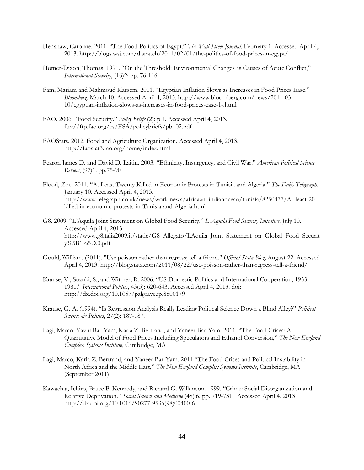- Henshaw, Caroline. 2011. "The Food Politics of Egypt." *The Wall Street Journal*. February 1. Accessed April 4, 2013. http://blogs.wsj.com/dispatch/2011/02/01/the-politics-of-food-prices-in-egypt/
- Homer-Dixon, Thomas. 1991. "On the Threshold: Environmental Changes as Causes of Acute Conflict," *International Security*, (16)2: pp. 76-116
- Fam, Mariam and Mahmoud Kassem. 2011. "Egyptian Inflation Slows as Increases in Food Prices Ease." *Bloomberg*. March 10. Accessed April 4, 2013. http://www.bloomberg.com/news/2011-03- 10/egyptian-inflation-slows-as-increases-in-food-prices-ease-1-.html
- FAO. 2006. "Food Security." *Policy Briefs* (2): p.1. Accessed April 4, 2013. ftp://ftp.fao.org/es/ESA/policybriefs/pb\_02.pdf
- FAOStats. 2012. Food and Agriculture Organization. Accessed April 4, 2013. http://faostat3.fao.org/home/index.html
- Fearon James D. and David D. Laitin. 2003. "Ethnicity, Insurgency, and Civil War." *American Political Science Review*, (97)1: pp.75-90
- Flood, Zoe. 2011. "At Least Twenty Killed in Economic Protests in Tunisia and Algeria." *The Daily Telegraph*. January 10. Accessed April 4, 2013. http://www.telegraph.co.uk/news/worldnews/africaandindianocean/tunisia/8250477/At-least-20 killed-in-economic-protests-in-Tunisia-and-Algeria.html
- G8. 2009. "L'Aquila Joint Statement on Global Food Security." *L'Aquila Food Security Initiative*. July 10. Accessed April 4, 2013. http://www.g8italia2009.it/static/G8\_Allegato/LAquila\_Joint\_Statement\_on\_Global\_Food\_Securit y%5B1%5D,0.pdf
- Gould, William. (2011). "Use poisson rather than regress; tell a friend." *Official Stata Blog*, August 22. Accessed April 4, 2013. http://blog.stata.com/2011/08/22/use-poisson-rather-than-regress-tell-a-friend/
- Krause, V., Suzuki, S., and Witmer, R. 2006. "US Domestic Politics and International Cooperation, 1953- 1981." *International Politics*, 43(5): 620-643. Accessed April 4, 2013. doi: http://dx.doi.org/10.1057/palgrave.ip.8800179
- Krause, G. A. (1994). "Is Regression Analysis Really Leading Political Science Down a Blind Alley?" *Political Science & Politics*, 27(2): 187-187.
- Lagi, Marco, Yavni Bar-Yam, Karla Z. Bertrand, and Yaneer Bar-Yam. 2011. "The Food Crises: A Quantitative Model of Food Prices Including Speculators and Ethanol Conversion," *The New England Complex Systems Institute*, Cambridge, MA
- Lagi, Marco, Karla Z. Bertrand, and Yaneer Bar-Yam. 2011 "The Food Crises and Political Instability in North Africa and the Middle East," *The New England Complex Systems Institute*, Cambridge, MA (September 2011)
- Kawachia, Ichiro, Bruce P. Kennedy, and Richard G. Wilkinson. 1999. "Crime: Social Disorganization and Relative Deprivation." *Social Science and Medicine* (48):6. pp. 719-731 Accessed April 4, 2013 http://dx.doi.org/10.1016/S0277-9536(98)00400-6